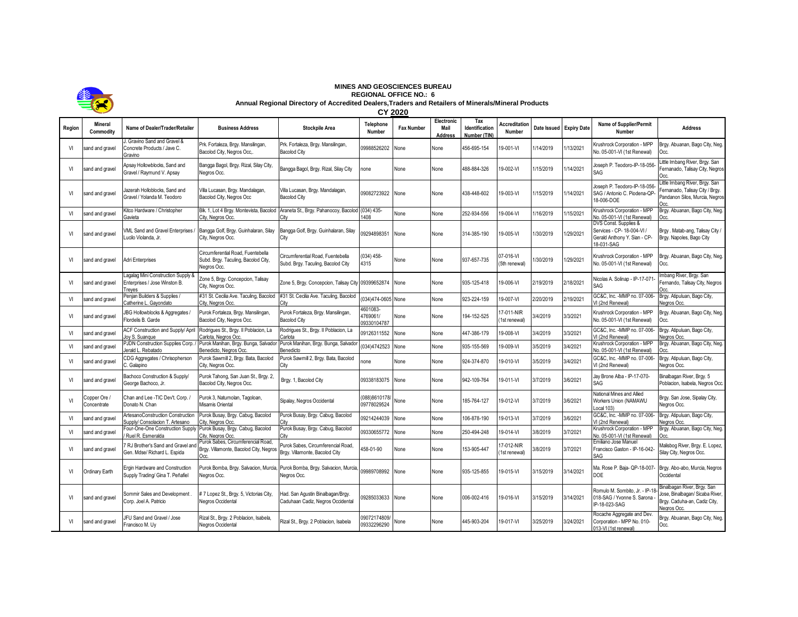

## **MINES AND GEOSCIENCES BUREAU REGIONAL OFFICE NO.: 6 Annual Regional Directory of Accredited Dealers,Traders and Retailers of Minerals/Mineral Products**

|        | <b>KOLO</b>                 | <b>CY 2020</b>                                                                |                                                                                         |                                                                         |                                     |                   |                               |                                       |                                |                         |           |                                                                                                   |                                                                                                               |
|--------|-----------------------------|-------------------------------------------------------------------------------|-----------------------------------------------------------------------------------------|-------------------------------------------------------------------------|-------------------------------------|-------------------|-------------------------------|---------------------------------------|--------------------------------|-------------------------|-----------|---------------------------------------------------------------------------------------------------|---------------------------------------------------------------------------------------------------------------|
| Region | <b>Mineral</b><br>Commodity | Name of Dealer/Trader/Retailer                                                | <b>Business Address</b>                                                                 | <b>Stockpile Area</b>                                                   | Telephone<br>Number                 | <b>Fax Number</b> | Electronic<br>Mail<br>Address | Tax<br>Identification<br>Number (TIN) | <b>Accreditation</b><br>Number | Date Issued Expiry Date |           | <b>Name of Supplier/Permit</b><br>Number                                                          | <b>Address</b>                                                                                                |
| VI     | sand and gravel             | J. Gravino Sand and Gravel &<br>Concrete Products / Jave C.<br>Gravino        | Prk. Fortaleza, Brgy. Mansilingan.<br>Bacolod City, Negros Occ                          | Prk. Fortaleza, Brgy. Mansilingan,<br><b>Bacolod City</b>               | 09988526202                         | None              | None                          | 156-695-154                           | 9-001-VI                       | 1/14/2019               | 1/13/2021 | Krushrock Corporation - MPP<br>No. 05-001-VI (1st Renewal)                                        | Brgy. Abuanan, Bago City, Neg.<br>Occ.                                                                        |
| VI     | sand and gravel             | Apsay Hollowblocks, Sand and<br>Gravel / Raymund V. Apsay                     | Bangga Bagol, Brgy. Rizal, Silay City,<br>Nearos Occ.                                   | Bangga Bagol, Brgy. Rizal, Silay City                                   | none                                | None              | None                          | 488-884-326                           | 19-002-VI                      | 1/15/2019               | 1/14/2021 | Joseph P. Teodoro-IP-18-056-<br>SAG                                                               | Little Imbang River, Brgy. San<br>Fernanado, Talisay City, Negros<br>Occ.                                     |
| VI     | sand and gravel             | Jazerah Holloblocks, Sand and<br>Gravel / Yolanda M. Teodoro                  | Villa Lucasan, Brgy. Mandalagan,<br>Bacolod City, Negros Occ                            | Villa Lucasan, Brgy. Mandalagan,<br><b>Bacolod City</b>                 | 09082723922 None                    |                   | None                          | 438-448-602                           | 9-003-VI                       | 1/15/2019               | /14/2021  | Joseph P. Teodoro-IP-18-056-<br>SAG / Antonio C. Piodena-QP-<br>18-006-DOE                        | Little Imbang River, Brgy. San<br>Fernanado, Talisay City / Brgy.<br>Pandanon Silos, Murcia, Negros           |
| VI     | sand and gravel             | Kitco Hardware / Christopher<br>Gavieta                                       | Blk. 1, Lot 4 Brgy. Montevista, Bacolod<br>City, Negros Occ.                            | Araneta St., Brgy. Pahanocoy, Bacolod (034) 435-<br>City                | 1408                                | None              | None                          | 252-934-556                           | 19-004-VI                      | 1/16/2019               | 1/15/2021 | Krushrock Corporation - MPP<br>No. 05-001-VI (1st Renewal)                                        | Brgy. Abuanan, Bago City, Neg.<br>Occ.                                                                        |
| VI     | sand and gravel             | VML Sand and Gravel Enterprises<br>Lucilo Violanda, Jr.                       | Bangga Golf, Brgy. Guinhalaran, Silay<br>City, Negros Occ.                              | Bangga Golf, Brgy. Guinhalaran, Silay<br>City                           | 09294898351                         | None              | None                          | 314-385-190                           | 19-005-VI                      | 1/30/2019               | /29/2021  | DVS Const. Supplies &<br>Services - CP- 18-004-VI /<br>Gerald Anthony Y. Sian - CP-<br>18-031-SAG | Brgy. Matab-ang, Talisay City /<br>Brgy. Napoles, Bago City                                                   |
| VI     | sand and gravel             | Adri Enterprises                                                              | Circumferential Road, Fuentebella<br>Subd. Brgy. Taculing, Bacolod City,<br>Negros Occ. | Circumferential Road, Fuentebella<br>Subd. Brgy. Taculing, Bacolod City | (034) 458-<br>4315                  | None              | None                          | 937-657-735                           | 07-016-VI<br>(5th renewal)     | /30/2019                | /29/2021  | Krushrock Corporation - MPP<br>No. 05-001-VI (1st Renewal)                                        | Brgy. Abuanan, Bago City, Neg.<br>Occ.                                                                        |
| VI     | sand and gravel             | Lagalag Mini Construction Supply 8<br>Enterprises / Jose Winston B.<br>Treyes | Zone 5, Brgy. Concepcion, Talisay<br>City, Negros Occ.                                  | Zone 5, Brgy. Concepcion, Talisay City 09399652874                      |                                     | None              | None                          | 935-125-418                           | 19-006-VI                      | 2/19/2019               | 2/18/2021 | Nicolas A. Solinap - IP-17-071<br>SAG                                                             | Imbang River, Brgy. San<br>Fernando, Talisay City, Negros<br>Occ.                                             |
| VI     | sand and gravel             | Penjan Builders & Supplies /<br>Catherine L. Gavondato                        | #31 St. Cecilia Ave. Taculing, Bacolod<br>City, Nearos Occ                              | #31 St. Cecilia Ave. Taculing, Bacolod<br>City                          | (034)474-0605 None                  |                   | None                          | 923-224-159                           | 19-007-VI                      | 2/20/2019               | 2/19/2021 | GC&C, Inc. - MMP no. 07-006-<br>VI (2nd Renewal)                                                  | Brgy. Atipuluan, Bago City,<br>Nearos Occ.                                                                    |
| VI     | sand and gravel             | JBG Hollowblocks & Aggregates /<br>Flordelis B. Garde                         | Purok Fortaleza, Brgy. Mansilingan,<br>Bacolod City, Negros Occ.                        | Purok Fortaleza, Brgy. Mansilingan,<br><b>Bacolod City</b>              | 4601083-<br>4769061/<br>09330104787 | None              | None                          | 194-152-525                           | 7-011-NIR<br>1st renewal)      | 3/4/2019                | 3/3/2021  | Krushrock Corporation - MPP<br>No. 05-001-VI (1st Renewal)                                        | Brgy. Abuanan, Bago City, Neg.<br>Occ.                                                                        |
| VI     | sand and gravel             | ACF Construction and Supply/ April<br>Joy S. Suanque                          | Rodrigues St., Brgy. Il Poblacion, La<br>Carlota, Negros Occ.                           | Rodrigues St., Brgy. Il Poblacion, La<br>Carlota                        | 09126311552                         | Vone              | None                          | 447-386-179                           | 19-008-VI                      | 3/4/2019                | 3/3/2021  | GC&C, Inc. - MMP no. 07-006-<br>VI (2nd Renewal)                                                  | Brgy. Atipuluan, Bago City,<br>Negros Occ.                                                                    |
| VI     | sand and gravel             | PJDN Construction Supplies Corp.<br>lerald L. Rebatado                        | Purok Manihan, Brgy. Bunga, Salvado<br>Benedicto, Negros Occ.                           | Purok Manihan, Brgy. Bunga, Salvado<br>Benedicto                        | (034)4742523                        | None              | None                          | 935-155-569                           | 9-009-VI                       | 3/5/2019                | 3/4/2021  | Krushrock Corporation - MPP<br>No. 05-001-VI (1st Renewal)                                        | Brgy. Abuanan, Bago City, Neg.                                                                                |
| VI     | sand and gravel             | CDG Aggregates / Chrisopherson<br>C. Galapino                                 | Purok Sawmill 2, Brgy. Bata, Bacolod<br>City, Negros Occ.                               | Purok Sawmill 2, Brgy. Bata, Bacolod<br>City                            | none                                | None              | None                          | 924-374-870                           | 19-010-VI                      | 3/5/2019                | 3/4/2021  | GC&C, Inc. - MMP no. 07-006-<br>VI (2nd Renewal)                                                  | Brgy. Atipuluan, Bago City,<br>Negros Occ.                                                                    |
| VI     | sand and gravel             | Bachoco Construction & Supply/<br>George Bachoco, Jr.                         | Purok Tahong, San Juan St., Brgy. 2,<br>Bacolod City, Negros Occ.                       | Brgy. 1, Bacolod City                                                   | 09338183075 None                    |                   | None                          | 942-109-764                           | 9-011-VI                       | 3/7/2019                | 3/6/2021  | Jay Brone Alba - IP-17-070-<br>SAG                                                                | Binalbagan River, Brgy. 5<br>Poblacion, Isabela, Negros Occ.                                                  |
| V      | Copper Ore /<br>Concentrate | Chan and Lee -TIC Dev't. Corp. /<br>Donato N. Chan                            | Purok 3, Natumolan, Tagoloan,<br>Misamis Oriental                                       | Sipalay, Negros Occidental                                              | (088)8610178/<br>09778029524        | None              | None                          | 185-764-127                           | 19-012-VI                      | 3/7/2019                | 3/6/2021  | National Mines and Allied<br>Workers Union (NAMAWU<br>Local 103)                                  | Brgy. San Jose, Sipalay City,<br>Negros Occ.                                                                  |
| VI     | sand and gravel             | ArtesanoConstruction Construction<br>Supply/ Consolacion T. Artesano          | Purok Busay, Brgy. Cabug, Bacolod<br>City, Nearos Occ.                                  | Purok Busay, Brgy. Cabug, Bacolod<br>Citv                               | 09214244039                         | None              | None                          | 106-878-190                           | 19-013-VI                      | 3/7/2019                | 3/6/2021  | GC&C, Inc. - MMP no. 07-006-<br>VI (2nd Renewal)                                                  | Brgy. Atipuluan, Bago City,<br>Nearos Occ.                                                                    |
| VI     | sand and gravel             | Four-One-One Construction Supply<br>Ruel R. Esmeralda                         | Purok Busay, Brgy. Cabug, Bacolod<br>City, Negros Occ                                   | Purok Busay, Brgy. Cabug, Bacolod<br>City                               | 09330655772                         | None              | None                          | 250-494-248                           | 19-014-VI                      | 3/8/2019                | 3/7/2021  | Krushrock Corporation - MPP<br>No. 05-001-VI (1st Renewal)                                        | Brgy. Abuanan, Bago City, Neg.                                                                                |
| VI     | sand and gravel             | RJ Brother's Sand and Gravel an<br>Gen. Mdse/ Richard L. Espida               | Purok Sabes, Circumferencial Road.<br>Brgy. Villamonte, Bacolod City, Negros<br>Occ.    | Purok Sabes, Circumferencial Road,<br>Brgy. Villamonte, Bacolod City    | 458-01-90                           | None              | None                          | 153-905-447                           | 7-012-NIR<br>1st renewall      | 3/8/2019                | 3/7/2021  | Emiliano Jose Manuel<br>Francisco Gaston - IP-16-042-<br>SAG                                      | Malisbog River, Brgy. E. Lopez,<br>Silay City, Negros Occ.                                                    |
| VI     | Ordinary Earth              | Ergin Hardware and Construction<br>Supply Trading/ Gina T. Peñafiel           | Purok Bomba, Brgy. Salvacion, Murcia,<br>Negros Occ.                                    | Purok Bomba, Brgy. Salvacion, Murcia<br>Negros Occ.                     | 09989708992                         | None              | None                          | 935-125-855                           | $9 - 015 - VI$                 | 3/15/2019               | 3/14/2021 | Ma. Rose P. Baja- QP-18-007-<br><b>DOE</b>                                                        | Brgy. Abo-abo, Murcia, Negros<br>Occidental                                                                   |
| VI     | sand and gravel             | Sommir Sales and Development<br>Corp. Joel A. Patricio                        | # 7 Lopez St., Brgy. 5, Victorias City,<br>Negros Occidental                            | Had. San Agustin Binalbagan/Brgy.<br>Caduhaan Cadiz, Negros Occidental  | 09285033633 None                    |                   | None                          | 006-002-416                           | 19-016-VI                      | 3/15/2019               | 3/14/2021 | Romulo M. Sombito, Jr. - IP-18<br>018-SAG / Yvonne S. Sarona<br>IP-18-023-SAG                     | Binalbagan River, Brgy. San<br>lose, Binalbagan/ Sicaba River,<br>Brgy. Caduha-an, Cadiz City,<br>Negros Occ. |
| VI     | sand and gravel             | JFU Sand and Gravel / Jose<br>Francisco M. Uy                                 | Rizal St., Brgy. 2 Poblacion, Isabela,<br>Negros Occidental                             | Rizal St., Brgy. 2 Poblacion, Isabela                                   | 09072174809/<br>09332296290         | None              | None                          | 445-903-204                           | 19-017-VI                      | 3/25/2019               | 3/24/2021 | Rocache Aggregate and Dev.<br>Corporation - MPP No. 010-<br>013-VI (1st renewal)                  | Brgy. Abuanan, Bago City, Neg.<br>Occ.                                                                        |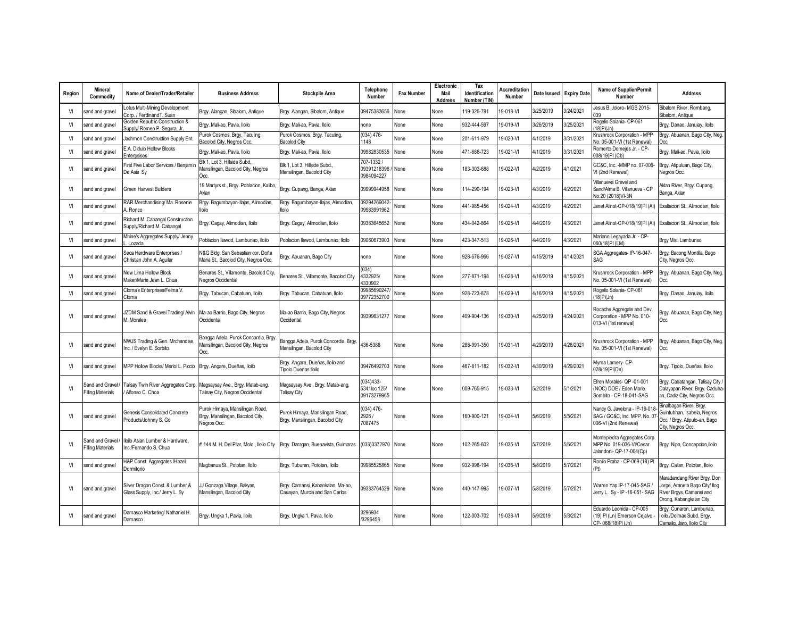| Region | <b>Mineral</b><br>Commodity                  | Name of Dealer/Trader/Retailer                                         | <b>Business Address</b>                                                            | <b>Stockpile Area</b>                                               | <b>Telephone</b><br>Number                  | <b>Fax Number</b> | Electronic<br>Mail<br>Address | Tax<br>Identification<br>Number (TIN) | <b>Accreditation</b><br>Number | Date Issued Expiry Date |           | <b>Name of Supplier/Permit</b><br>Number                                              | <b>Address</b>                                                                                                       |
|--------|----------------------------------------------|------------------------------------------------------------------------|------------------------------------------------------------------------------------|---------------------------------------------------------------------|---------------------------------------------|-------------------|-------------------------------|---------------------------------------|--------------------------------|-------------------------|-----------|---------------------------------------------------------------------------------------|----------------------------------------------------------------------------------------------------------------------|
| VI     | sand and gravel                              | otus Multi-Mining Development<br>orp. / FerdinandT. Suan               | Brgy. Alangan, Sibalom, Antique                                                    | Brgy. Alangan, Sibalom, Antique                                     | 09475383656                                 | None              | None                          | 19-326-791                            | 19-018-VI                      | 3/25/2019               | 3/24/2021 | Jesus B. Joloro-MGS 2015-<br>039                                                      | Sibalom River, Rombang,<br>Sibalom, Antique                                                                          |
| VI     | sand and gravel                              | Golden Republic Construction &<br>Supply/ Romeo P. Segura, Jr          | Brgy. Mali-ao, Pavia, Iloilo                                                       | Brgy. Mali-ao, Pavia, Iloilo                                        | none                                        | None              | None                          | 932-444-597                           | 19-019-VI                      | 3/26/2019               | 3/25/2021 | Rogelio Solania- CP-061<br>(18)PI(Jn)                                                 | Brgy. Danao, Januiay, Iloilo                                                                                         |
| VI     | sand and gravel                              | lashmon Construction Supply Ent.                                       | Purok Cosmos, Brgy. Taculing,<br>Bacolod City, Negros Occ.                         | Purok Cosmos, Brgy. Taculing,<br><b>Bacolod City</b>                | $(034)$ 476-<br>1148                        | None              | None                          | 201-611-979                           | 19-020-VI                      | 4/1/2019                | 3/31/2021 | Krushrock Corporation - MPP<br>No. 05-001-VI (1st Renewal)                            | Brgy. Abuanan, Bago City, Neg.                                                                                       |
| VI     | sand and gravel                              | E.A. Didulo Hollow Blocks<br>Enterpsises                               | Brgy. Mali-ao, Pavia, Iloilo                                                       | Brgy. Mali-ao, Pavia, Iloilo                                        | 09982830535                                 | None              | None                          | 471-686-723                           | 9-021-VI                       | 4/1/2019                | 3/31/2021 | Romerto Domejes Jr. - CP-<br>008(19)PI (Cb)                                           | Brgy. Mali-ao, Pavia, Iloilo                                                                                         |
| VI     | sand and gravel                              | First Five Labor Services / Benjamir<br>De Asis Sy                     | Blk 1, Lot 3, Hillside Subd.,<br>Mansilingan, Bacolod City, Negros<br>Occ.         | Blk 1, Lot 3, Hillside Subd.,<br>Mansilingan, Bacolod City          | 707-1332<br>09391218396 /<br>0984094227     | None              | None                          | 183-302-688                           | 19-022-VI                      | 4/2/2019                | 4/1/2021  | GC&C. Inc. - MMP no. 07-006-<br>VI (2nd Renewal)                                      | Brgy. Atipuluan, Bago City,<br>Negros Occ.                                                                           |
| VI     | sand and gravel                              | Green Harvest Builders                                                 | 19 Martyrs st., Brgy. Poblacion, Kalibo,<br>Aklan                                  | Brgy. Cupang, Banga, Aklan                                          | 09999944958                                 | None              | None                          | 14-290-194                            | 9-023-VI                       | 4/3/2019                | 4/2/2021  | Villanueva Gravel and<br>Sand/Alma B. Villanueva - CP<br>No.20 (2018)VI-3N            | Aklan River, Brgy. Cupang,<br>Banga, Aklan                                                                           |
| VI     | sand and gravel                              | RAR Merchandising/ Ma. Rosenie<br>. Ronco                              | Brgy. Bagumbayan-Ilajas, Alimodian,<br>lloilo                                      | Brgy. Bagumbayan-Ilajas, Alimodian,<br>lloilo                       | 09294269042-<br>09983991962                 | None              | None                          | 441-985-456                           | 9-024-VI                       | 4/3/2019                | 4/2/2021  | Janet Alinot-CP-018(19)PI (AI)                                                        | Exaltacion St., Alimodian, Iloilo                                                                                    |
| VI     | sand and gravel                              | Richard M. Cabangal Construction<br>Supply/Richard M. Cabangal         | Brgy. Cagay, Alimodian, Iloilo                                                     | Brgy. Cagay, Alimodian, Iloilo                                      | 09383645652                                 | None              | None                          | 434-042-864                           | 19-025-VI                      | 4/4/2019                | 4/3/2021  | Janet Alinot-CP-018(19)PI (Al)                                                        | Exaltacion St., Alimodian, Iloilo                                                                                    |
| VI     | sand and gravel                              | Mhine's Aggregates Supply/ Jenny<br>Lozada                             | Poblacion Ilawod, Lambunao, Iloilo                                                 | Poblacion Ilawod, Lambunao, Iloilo                                  | 09060673903                                 | None              | None                          | 423-347-513                           | 19-026-VI                      | 4/4/2019                | 4/3/2021  | Mariano Legayada Jr. - CP-<br>060(18)PI (LM)                                          | Brgy Misi, Lambunso                                                                                                  |
| VI     | sand and gravel                              | Seca Hardware Enterprises /<br>Christian John A. Aguilar               | N&G Bldg. San Sebastian cor. Doña<br>Maria St., Bacolod City, Negros Occ.          | Brgy. Abuanan, Bago City                                            | none                                        | None              | None                          | 928-676-966                           | 19-027-VI                      | 4/15/2019               | 4/14/2021 | SGA Aggregates- IP-16-047-<br>SAG                                                     | Brgy. Bacong Montilla, Bago<br>City, Negros Occ.                                                                     |
| VI     | sand and gravel                              | <b>New Lima Hollow Block</b><br>Maker/Marie Jean L. Chua               | Benares St., Villamonte, Bacolod City<br>Negros Occidental                         | Benares St., Villamonte, Bacolod City                               | (034)<br>4332925/<br>4330902                | None              | None                          | 277-871-198                           | 19-028-VI                      | 4/16/2019               | 4/15/2021 | Krushrock Corporation - MPP<br>No. 05-001-VI (1st Renewal)                            | Brgy. Abuanan, Bago City, Neg.<br>Occ.                                                                               |
| VI     | sand and gravel                              | Cloma's Enterprises/Felma V.<br>Cloma                                  | Brgy. Tabucan, Cabatuan, Iloilo                                                    | Brgy. Tabucan, Cabatuan, Iloilo                                     | 09985690247<br>09772352700                  | None              | None                          | 928-723-878                           | 19-029-VI                      | 4/16/2019               | 4/15/2021 | Rogelio Solania- CP-061<br>(18)PI(Jn)                                                 | Brgy. Danao, Januiay, Iloilo                                                                                         |
| VI     | sand and gravel                              | <b>IZDM Sand &amp; Gravel Trading/ Alvin</b><br>A. Morales             | Ma-ao Barrio, Bago City, Negros<br>Occidental                                      | Ma-ao Barrio, Bago City, Negros<br>Occidental                       | 09399631277                                 | None              | None                          | 409-904-136                           | 19-030-VI                      | 4/25/2019               | 4/24/2021 | Rocache Aggregate and Dev.<br>Corporation - MPP No. 010-<br>013-VI (1st renewal)      | Brgy. Abuanan, Bago City, Neg.<br>Occ.                                                                               |
| VI     | sand and gravel                              | <b>VWJS Trading &amp; Gen. Mrchandise.</b><br>Inc. / Evelyn E. Sorbito | Bangga Adela, Purok Concordia, Brgy<br>Mansilingan, Bacolod City, Negros<br>Occ.   | Bangga Adela, Purok Concordia, Brgy<br>Mansilingan, Bacolod City    | 436-5388                                    | None              | None                          | 288-991-350                           | 19-031-VI                      | 4/29/2019               | 4/28/2021 | Krushrock Corporation - MPP<br>No. 05-001-VI (1st Renewal)                            | Brgy. Abuanan, Bago City, Neg.<br>Occ.                                                                               |
| VI     | sand and gravel                              | MPP Hollow Blocks/ Merloi L. Piccio                                    | Brgy. Angare, Dueñas, Iloilo                                                       | Brgy. Angare, Dueñas, Iloilo and<br>Tipolo Duenas Iloilo            | 09476492703 None                            |                   | None                          | 467-811-182                           | 19-032-VI                      | 4/30/2019               | 4/29/2021 | Myrna Lamery- CP-<br>028(19)PI(Dn)                                                    | Brgy. Tipolo, Dueñas, Iloilo                                                                                         |
| VI     | Sand and Gravel<br><b>Filling Materials</b>  | alisay Twin River Aggregates Corp.<br>Alfonso C. Choa                  | Magsaysay Ave., Brgy. Matab-ang,<br>Talisay City, Negros Occidental                | Magsaysay Ave., Brgy. Matab-ang,<br>Talisay City                    | $(034)433 -$<br>5341loc 125/<br>09173279965 | None              | None                          | 009-765-915                           | 19-033-VI                      | 5/2/2019                | 5/1/2021  | Efren Morales- QP -01-001<br>(NOC) DOE / Eden Marie<br>Sombito - CP-18-041-SAG        | Brgy. Cabatangan, Talisay City /<br>Dalayapan River, Brgy. Caduha-<br>an, Cadiz City, Negros Occ.                    |
| VI     | sand and gravel                              | Genesis Consolidated Concrete<br>Products/Johnny S. Go                 | Purok Himaya, Mansilingan Road,<br>Brgy. Mansilingan, Bacolod City,<br>Nearos Occ. | Purok Himaya, Mansilingan Road,<br>Brgy. Mansilingan, Bacolod City  | $(034)$ 476-<br>2926 /<br>7087475           | None              | None                          | 160-900-121                           | 19-034-VI                      | 5/6/2019                | 5/5/2021  | Nancy G. Javelona - IP-19-018<br>SAG / GC&C, Inc. MPP. No. 07<br>006-VI (2nd Renewal) | Binalbagan River, Brgy.<br>Guintubhan, Isabela, Negros<br>Occ. / Brgy. Atipulo-an, Bago<br>City, Negros Occ.         |
| VI     | Sand and Gravel.<br><b>Filling Materials</b> | loilo Asian Lumber & Hardware,<br>Inc./Fernando S. Chua                | # 144 M. H. Del Pilar, Molo, Iloilo City                                           | Brgy. Daragan, Buenavista, Guimaras                                 | (033)3372970 None                           |                   | None                          | 02-265-602                            | 19-035-VI                      | 5/7/2019                | 5/6/2021  | Montepiedra Aggregates Corp.<br>MPP No. 019-036-VI/Cesar<br>Jalandoni- QP-17-004(Cp)  | Brgy. Nipa, Concepcion, Iloilo                                                                                       |
| VI     | sand and gravel                              | 1&P Const. Aggregates /Hazel<br>Oormitorio                             | Magbanua St., Pototan, Iloilo                                                      | Brgy. Tuburan, Pototan, Iloilo                                      | 09985525865                                 | None              | None                          | 932-996-194                           | 19-036-VI                      | 5/8/2019                | 5/7/2021  | Ronilo Praba - CP-069 (18) Pl<br>(Pt)                                                 | Brgy. Callan, Pototan, Iloilo                                                                                        |
| VI     | sand and gravel                              | Silver Dragon Const. & Lumber &<br>Glass Supply, Inc./ Jerry L. Sy     | JJ Gonzaga Village, Bakyas,<br>Mansilingan, Bacolod City                           | Brgy. Camansi, Kabankalan, Ma-ao,<br>Cauayan, Murcia and San Carlos | 09333764529 None                            |                   | None                          | 440-147-995                           | 19-037-VI                      | 5/8/2019                | 5/7/2021  | Warren Yap IP-17-045-SAG /<br>Jerry L. Sy - IP -16-051- SAG                           | Maradandang River Brgy. Don<br>lorge, Araneta Bago City/ Ilog<br>River Brgys. Camansi and<br>Orong, Kabangkalan City |
| VI     | sand and gravel                              | Damasco Marketing/ Nathaniel H.<br>Damasco                             | Brgy. Ungka 1, Pavia, Iloilo                                                       | Brgy. Ungka 1, Pavia, Iloilo                                        | 3296934<br>/3296458                         | None              | None                          | 122-003-702                           | 19-038-VI                      | 5/9/2019                | 5/8/2021  | Eduardo Leonida - CP-005<br>(19) Pl (Ln) Emerson Cejalvo -<br>CP-068(18)PI (Jn)       | Brgy. Cunaron, Lambunao,<br>Iloilo./Dolmax Subd. Brgy.<br>Camalig, Jaro, Iloilo City                                 |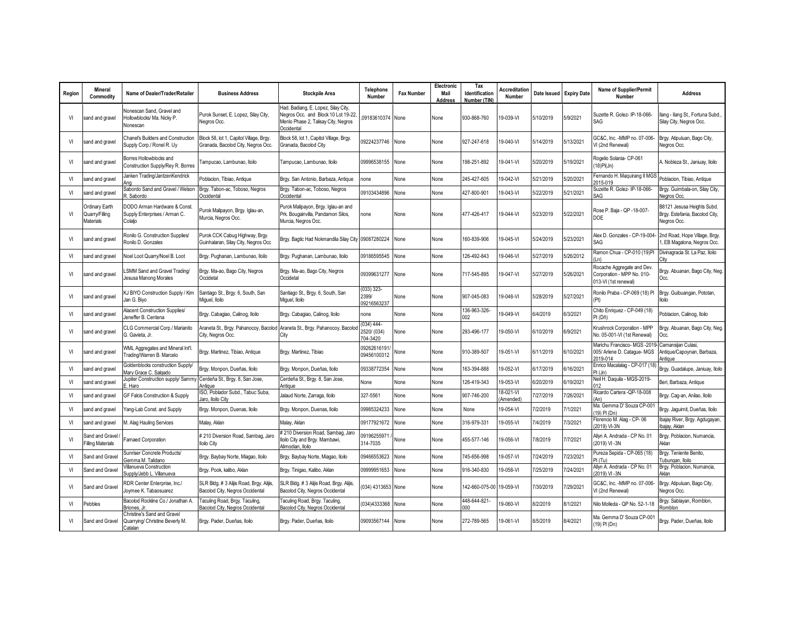| Region | <b>Mineral</b><br>Commodity                   | Name of Dealer/Trader/Retailer                                            | <b>Business Address</b>                                                                         | <b>Stockpile Area</b>                                                                                                           | <b>Telephone</b><br>Number               | <b>Fax Number</b> | Electronic<br>Mail<br><b>Address</b> | Tax<br><b>Identification</b><br>Number (TIN | <b>ccreditation</b><br>Number | Date Issued | <b>Expiry Date</b> | Name of Supplier/Permit<br>Number                                                | <b>Address</b>                                                              |
|--------|-----------------------------------------------|---------------------------------------------------------------------------|-------------------------------------------------------------------------------------------------|---------------------------------------------------------------------------------------------------------------------------------|------------------------------------------|-------------------|--------------------------------------|---------------------------------------------|-------------------------------|-------------|--------------------|----------------------------------------------------------------------------------|-----------------------------------------------------------------------------|
| VI     | sand and gravel                               | Vonescan Sand, Gravel and<br>Hollowblocks/ Ma. Nicky P.<br>Vonescan       | Purok Sunset, E. Lopez, Silay City,<br>Negros Occ.                                              | Had. Badiang, E. Lopez, Silay City,<br>Negros Occ. and Block 10 Lot 19-22.<br>Menlo Phase 2, Talisay City, Negros<br>Occidental | 09183610374 None                         |                   | None                                 | 930-868-760                                 | 19-039-VI                     | 5/10/2019   | 5/9/2021           | Suzette R. Golez- IP-18-066-<br>SAG                                              | Ilang - Ilang St., Fortuna Subd.,<br>Silay City, Negros Occ.                |
| VI     | sand and gravel                               | Chanel's Builders and Construction<br>Supply Corp./ Ronel R. Uy           | Block 58, lot 1, Capitol Village, Brgy.<br>Granada, Bacolod City, Negros Occ.                   | Block 58, lot 1, Capitol Village, Brgy.<br>Granada, Bacolod City                                                                | 09224237746 None                         |                   | None                                 | 927-247-618                                 | 19-040-VI                     | 5/14/2019   | 5/13/2021          | GC&C. Inc. -MMP no. 07-006-<br>VI (2nd Renewal)                                  | Brgy. Atipuluan, Bago City,<br>Negros Occ.                                  |
| VI     | sand and gravel                               | Borres Hollowblocks and<br>Construction Supply/Rey R. Borres              | Tampucao, Lambunao, Iloilo                                                                      | Tampucao, Lambunao, Iloilo                                                                                                      | 09996538155 None                         |                   | None                                 | 198-251-892                                 | 19-041-VI                     | 5/20/2019   | 5/19/2021          | Rogelio Solania- CP-061<br>$(18)$ Pl(Jn)                                         | A. Nobleza St., Janiuay, Iloilo                                             |
| VI     | sand and gravel                               | lanken Trading/JantzenKendrick<br>Ana                                     | Poblacion, Tibiao, Antique                                                                      | Brgy. San Antonio, Barbaza, Antique                                                                                             | none                                     | None              | None                                 | 245-427-605                                 | 19-042-VI                     | 5/21/2019   | 5/20/2021          | Fernando H. Maquirang II MGS<br>2015-019                                         | Poblacion, Tibiao, Antique                                                  |
| VI     | sand and gravel                               | Sabordo Sand and Gravel / Welson<br>R. Sabordo                            | Brgy. Tabon-ac, Toboso, Negros<br>Occidental                                                    | Brgy. Tabon-ac, Toboso, Negros<br>Occidental                                                                                    | 09103434896                              | None              | None                                 | 427-800-901                                 | 19-043-VI                     | 5/22/2019   | 5/21/2021          | Suzette R. Golez- IP-18-066-<br>SAG                                              | Brgy. Guimbala-on, Silay City,<br>Nearos Occ.                               |
| VI     | Ordinary Earth<br>Quarry/Filling<br>Materials | DODO Arman Hardware & Const.<br>Supply Enterprises / Arman C.<br>Colaljo  | Purok Malipayon, Brgy. Iglau-an,<br>Murcia, Negros Occ.                                         | Purok Malipayon, Brgy. Iglau-an and<br>Prk. Bougainvilla, Pandamon Silos,<br>Murcia, Negros Occ.                                | none                                     | None              | None                                 | 477-426-417                                 | 19-044-VI                     | 5/23/2019   | 5/22/2021          | Rose P. Baja - QP -18-007-<br><b>DOE</b>                                         | B8121 Jesusa Heights Subd.<br>Brgy. Estefania, Bacolod City,<br>Negros Occ. |
| VI     | sand and gravel                               | Ronilo G. Construction Supplies/<br>Ronilo D. Gonzales                    | Purok CCK Cabug Highway, Brgy.<br>Guinhalaran, Silay City, Negros Occ                           | Brgy. Bagtic Had Nokmandila Silay City 09087280224 None                                                                         |                                          |                   | None                                 | 60-839-906                                  | 19-045-VI                     | 5/24/2019   | 5/23/2021          | Alex D. Gonzales - CP-19-004-<br>SAG                                             | 2nd Road, Hope Village, Brgy.<br>, EB Magalona, Negros Occ.                 |
| VI     | sand and gravel                               | Voel Loot Quarry/Noel B. Loot                                             | Brgy. Pughanan, Lambunao, Iloilo                                                                | Brgy. Pughanan, Lambunao, Iloilo                                                                                                | 09186595545                              | None              | None                                 | 126-492-843                                 | 19-046-VI                     | 5/27/2019   | 5/26/2012          | Ramon Chua - CP-010 (19)PI<br>(l n)                                              | Divinagracia St. La Paz, Iloilo                                             |
| VI     | sand and gravel                               | SMM Sand and Gravel Trading/<br>lesusa Manong Morales                     | Brgy. Ma-ao, Bago City, Negros<br>Occidetal                                                     | Brgy. Ma-ao, Bago City, Negros<br>Occidetal                                                                                     | 09399631277                              | None              | None                                 | 717-545-895                                 | 19-047-VI                     | 5/27/2019   | 5/26/2021          | Rocache Aggregate and Dev.<br>Corporation - MPP No. 010-<br>013-VI (1st renewal) | Brgy. Abuanan, Bago City, Neg.<br>Occ.                                      |
| VI     | sand and gravel                               | (J BIYO Construction Supply / Kim<br>lan G. Bivo                          | Santiago St., Brgy. 6, South, San<br>Miguel, Iloilo                                             | Santiago St., Brgy. 6, South, San<br>Miguel, Iloilo                                                                             | $(033)$ 323-<br>2399/<br>09216563237     | None              | None                                 | 907-045-083                                 | 19-048-VI                     | 5/28/2019   | 5/27/2021          | Ronilo Praba - CP-069 (18) Pl<br>(Pt)                                            | Brgy. Guibuangan, Pototan,<br>lloilo                                        |
| VI     | sand and gravel                               | Nacent Construction Supplies/<br>Jeneffer B. Centena                      | Brgy. Cabagiao, Calinog, Iloilo                                                                 | Brgy. Cabagiao, Calinog, Iloilo                                                                                                 | none                                     | None              | None                                 | 136-963-326-<br>002                         | 19-049-VI                     | 6/4/2019    | 6/3/2021           | Chito Enriquez - CP-049 (18)<br>PI (Dñ)                                          | Poblacion, Calinog, Iloilo                                                  |
| VI     | sand and gravel                               | CLG Commercial Corp./ Marianito<br>G. Gavieta, Jr.                        | Araneta St., Brgy. Pahanocoy, Bacolod Araneta St., Brgy. Pahanocoy, Bacolo<br>City, Negros Occ. | City                                                                                                                            | $(034) 444 -$<br>2520/ (034)<br>704-3420 | None              | None                                 | 293-496-177                                 | 19-050-VI                     | 6/10/2019   | 6/9/2021           | Krushrock Corporation - MPP<br>No. 05-001-VI (1st Renewal)                       | Brgy. Abuanan, Bago City, Neg.<br>Occ.                                      |
| VI     | sand and gravel                               | WML Aggregates and Mineral Int'l.<br>rading/Warren B. Marcelo             | Brgy. Martinez, Tibiao, Antique                                                                 | Brgy. Martinez, Tibiao                                                                                                          | 09262616191<br>09456100312               | None              | None                                 | 910-389-507                                 | 19-051-VI                     | 6/11/2019   | 6/10/2021          | Marichu Francisco- MGS-2019-<br>005/ Arlene D. Cataque- MGS<br>2019-014          | Camansijan Culasi,<br>Antique/Capoynan, Barbaza,<br>Antiaue                 |
| VI     | sand and gravel                               | Goldenblocks construction Supply/<br><b>Jary Grace C. Salgado</b>         | Brgy. Monpon, Dueñas, Iloilo                                                                    | Brgy. Monpon, Dueñas, Iloilo                                                                                                    | 09338772354                              | None              | None                                 | 163-394-888                                 | 19-052-VI                     | 6/17/2019   | 6/16/2021          | Enrico Macalalag - CP-017 (18)<br>PI(Jn)                                         | Brgy. Guadalupe, Janiuay, Iloilo                                            |
| VI     | sand and gravel                               | upiter Construction supply/ Sammy<br>Haro                                 | Cerdeña St., Brgy. 8, San Jose,<br>Antique                                                      | Cerdeña St., Brgy. 8, San Jose,<br>Antique                                                                                      | None                                     | None              | None                                 | 126-419-343                                 | 19-053-VI                     | 6/20/2019   | 6/19/2021          | Neil H. Daquila - MGS-2019-<br>012                                               | Beri, Barbaza, Antique                                                      |
| VI     | sand and gravel                               | GF Falcis Construction & Supply                                           | ISO, Poblador Subd., Tabuc Suba.<br>laro, Iloilo City                                           | Jalaud Norte, Zarraga, Iloilo                                                                                                   | 327-5561                                 | None              | None                                 | 907-746-200                                 | 18-021-VI<br>Amended)         | 7/27/2019   | 7/26/2021          | Ricardo Cartera - QP-18-008<br>(An)                                              | Brgy. Cag-an, Anilao, Iloilo                                                |
| VI     | sand and gravel                               | ang-Lab Const. and Supply                                                 | Brgy. Monpon, Duenas, Iloilo                                                                    | Brgy. Monpon, Duenas, Iloilo                                                                                                    | 09985324233                              | None              | None                                 | None                                        | 19-054-VI                     | 7/2/2019    | 7/1/2021           | Ma. Gemma D' Souza CP-001<br>(19) PI (Dn)                                        | Brgy. Jaguimit, Dueñas, Iloilo                                              |
| VI     | sand and gravel                               | M. Alag Hauling Services                                                  | Malay, Aklan                                                                                    | Malay, Aklan                                                                                                                    | 09177921672                              | None              | None                                 | 316-979-331                                 | 19-055-VI                     | 7/4/2019    | 7/3/2021           | Florencio M. Alaq - CP-06<br>(2019) VI-3N                                        | Ibajay River, Brgy. Agdugayan,<br>Ibajay, Aklan                             |
| VI     | Sand and Gravel<br><b>Filling Materials</b>   | amaed Corporation                                                         | # 210 Diversion Road, Sambag, Jaro<br><b>Iloilo City</b>                                        | # 210 Diversion Road, Sambag, Jaro<br>Iloilo City and Brgy. Mambawi,<br>Alimodian, Iloilo                                       | 09196255971<br>314-7035                  | None              | None                                 | 455-577-146                                 | 19-056-VI                     | 7/8/2019    | 7/7/2021           | Allyn A. Andrada - CP No. 01<br>(2019) VI-3N                                     | Brgy. Poblacion, Numancia,<br>Aklan                                         |
| VI     | Sand and Gravel                               | Sunriser Concrete Products/<br>Gemma M. Talidano                          | Brgy. Baybay Norte, Miagao, Iloilo                                                              | Brgy. Baybay Norte, Miagao, Iloilo                                                                                              | 09466553623                              | None              | None                                 | '45-656-998                                 | 19-057-VI                     | 7/24/2019   | 7/23/2021          | Pureza Sepida - CP-065 (18)<br>PI(Tu)                                            | Brgy. Teniente Benito,<br>ubungan, Iloilo                                   |
| VI     | Sand and Gravel                               | /illanueva Construction<br>Supply/Jebb L. Villanueva                      | Brgy. Pook, kalibo, Aklan                                                                       | Brgy. Tinigao, Kalibo, Aklan                                                                                                    | 09999951653                              | None              | None                                 | 916-340-830                                 | 19-058-VI                     | 7/25/2019   | 7/24/2021          | Allyn A. Andrada - CP No. 01<br>(2019) VI-3N                                     | Brgy. Poblacion, Numancia,<br>Aklan                                         |
| VI     | Sand and Gravel                               | RDR Center Enterprise, Inc./<br>Joymee K. Tabaosuarez                     | SLR Bldg. # 3 Alijis Road, Brgy. Alijis,<br>Bacolod City, Negros Occidental                     | SLR Bldg. # 3 Alijis Road, Brgy. Alijis,<br>Bacolod City, Negros Occidental                                                     | (034) 4313653 None                       |                   | None                                 | 142-660-075-00                              | 19-059-VI                     | 7/30/2019   | 7/29/2021          | GC&C, Inc. - MMP no. 07-006-<br>VI (2nd Renewal)                                 | Brgy. Atipuluan, Bago City,<br>Negros Occ.                                  |
| VI     | Pebbles                                       | Bacolod Rockline Co./ Jonathan A.<br>Briones, Jr.                         | Taculing Road, Brgy. Taculing,<br>Bacolod City, Negros Occidental                               | Taculing Road, Brgy. Taculing,<br>Bacolod City, Negros Occidental                                                               | (034)4333368                             | None              | None                                 | 448-644-821-<br>$000 -$                     | 19-060-VI                     | 8/2/2019    | 8/1/2021           | Nilo Molleda - QP No. 52-1-18                                                    | Brgy. Sablayan, Romblon,<br>Romblon                                         |
| VI     | Sand and Gravel                               | Christine's Sand and Gravel<br>Quarrying/ Christine Beverly M.<br>Catalan | Brgy. Pader, Dueñas, Iloilo                                                                     | Brgy. Pader, Dueñas, Iloilo                                                                                                     | 09093567144 None                         |                   | None                                 | 272-789-565                                 | 19-061-VI                     | 8/5/2019    | 8/4/2021           | Ma. Gemma D' Souza CP-001<br>(19) PI (Dn)                                        | Brgy. Pader, Dueñas, Iloilo                                                 |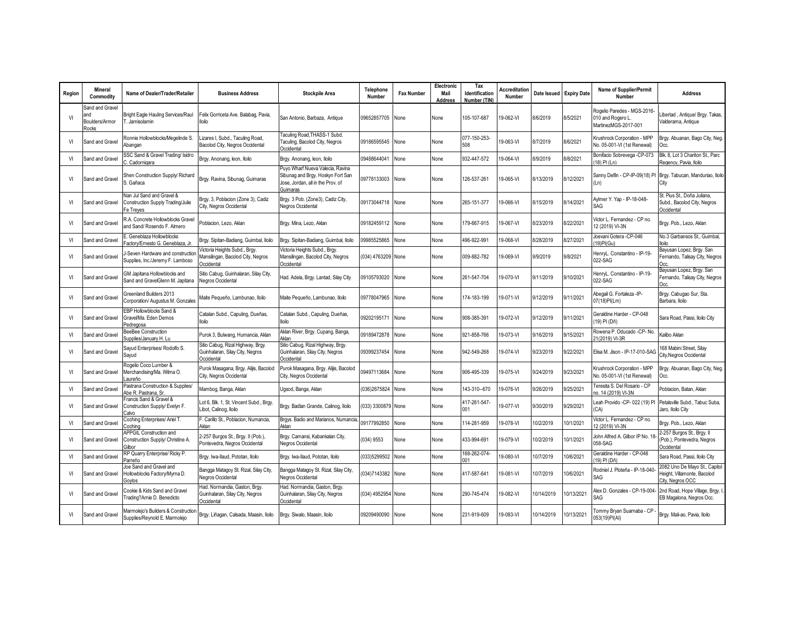| Region | <b>Mineral</b><br>Commodity                       | Name of Dealer/Trader/Retailer                                                        | <b>Business Address</b>                                                            | <b>Stockpile Area</b>                                                                                                  | Telephone<br>Number | <b>Fax Number</b> | Electronic<br>Mail<br><b>Address</b> | Tax<br>Identification<br>Number (TIN) | <b>Accreditation</b><br>Number |            | Date Issued Expiry Date | <b>Name of Supplier/Permit</b><br>Number                                 | <b>Address</b>                                                                   |
|--------|---------------------------------------------------|---------------------------------------------------------------------------------------|------------------------------------------------------------------------------------|------------------------------------------------------------------------------------------------------------------------|---------------------|-------------------|--------------------------------------|---------------------------------------|--------------------------------|------------|-------------------------|--------------------------------------------------------------------------|----------------------------------------------------------------------------------|
| VI     | Sand and Gravel<br>and<br>Boulders/Armor<br>Rocks | Bright Eagle Hauling Services/Raul<br>T. Jamisolamin                                  | Felix Gorriceta Ave. Balabag, Pavia,<br>lloilo                                     | San Antonio, Barbaza, Antique                                                                                          | 09652857705         | None              | None                                 | 105-107-687                           | 19-062-VI                      | 8/6/2019   | 8/5/2021                | Rogelio Paredes - MGS-2016-<br>010 and Rogero L.<br>MartinezMGS-2017-001 | ibertad, Antique/ Brgy. Takas,<br>Valderama, Antique                             |
| VI     | Sand and Gravel                                   | Ronnie Hollowblocks/Megelinde S.<br>Abangan                                           | Lizares I, Subd., Taculing Road,<br>Bacolod City, Negros Occidental                | Taculing Road, THASS-1 Subd.<br>Taculing, Bacolod City, Negros<br>Occidental                                           | 09186595545         | None              | None                                 | 077-150-253-<br>508                   | 9-063-VI                       | 8/7/2019   | 8/6/2021                | Krushrock Corporation - MPP<br>No. 05-001-VI (1st Renewal)               | Brgy. Abuanan, Bago City, Neg.<br>Occ.                                           |
| VI     | Sand and Gravel                                   | SSC Sand & Gravel Trading/ Isidro<br>. Cadornigara                                    | Brgy. Anonang, leon, Iloilo                                                        | Brgy. Anonang, leon, Iloilo                                                                                            | 09488644041         | None              | None                                 | 932-447-572                           | 9-064-VI                       | 8/9/2019   | 8/8/2021                | Bonifacio Sobrevega - CP-073<br>(18) PI (Ln)                             | Blk. 8, Lot 3 Chariton St., Parc<br>Regency, Pavia, Iloilo                       |
| VI     | Sand and Gravel                                   | Shen Construction Supply/ Richard<br>. Gañaca                                         | Brgy. Ravina, Sibunag, Guimaras                                                    | Puyo Wharf Nueva Valecia, Ravina<br>Sibunag and Brgy. Hoskyn Fort San<br>Jose, Jordan, all in the Prov. of<br>Guimaras | 09778133003         | None              | None                                 | 126-537-261                           | 19-065-VI                      | 8/13/2019  | 8/12/2021               | (Ln)                                                                     | Sanny Delfin - CP-IP-09(18) PI Brgy. Tabucan, Manduriao, Iloilo<br>City          |
| VI     | Sand and Gravel                                   | <b>Van Jul Sand and Gravel &amp;</b><br>Construction Supply Trading/Julie<br>e Treves | Brgy. 3, Poblacion (Zone 3), Cadiz<br>City, Negros Occidental                      | Brgy. 3 Pob. (Zone3), Cadiz City,<br>Negros Occidental                                                                 | 09173044718         | None              | None                                 | 265-151-377                           | 19-066-VI                      | 8/15/2019  | 8/14/2021               | Aylmer Y. Yap - IP-18-048-<br>SAG                                        | St. Pius St., Doña Juliana,<br>Subd., Bacolod City, Negros<br>Occidental         |
| VI     | Sand and Gravel                                   | R.A. Concrete Hollowblocks Gravel<br>and Sand/ Rosendo F. Almero                      | Poblacion, Lezo, Aklan                                                             | Brgy. Mina, Lezo, Aklan                                                                                                | 09182459112         | None              | None                                 | 179-667-915                           | 19-067-VI                      | 8/23/2019  | 8/22/2021               | Victor L. Fernandez - CP no.<br>12 (2019) VI-3N                          | Brgy. Pob., Lezo, Aklan                                                          |
| VI     | Sand and Gravel                                   | Geneblaza Hollowblocks<br>actory/Ernesto G. Geneblaza, Jr.                            | Brgy. Sipitan-Badiang, Guimbal, Iloilo                                             | Brgy. Sipitan-Badiang, Guimbal, Iloilo                                                                                 | 09985525865         | None              | None                                 | 496-922-991                           | 19-068-VI                      | 8/28/2019  | 8/27/2021               | Joevani Gotera -CP-046<br>19)PI(Gu)                                      | No.3 Garbansos St., Guimbal.<br>lloilo                                           |
| VI     | Sand and Gravel                                   | -Seven Hardware and constructior<br>Supplies, Inc./Jeremy F. Lamboso                  | Victoria Heights Subd., Brgy.<br>Mansilingan, Bacolod City, Negros<br>Occidental   | Victoria Heights Subd., Brgy.<br>Mansilingan, Bacolod City, Negros<br>Occidental                                       | (034) 4763209 None  |                   | None                                 | 009-882-782                           | 19-069-VI                      | 9/9/2019   | 9/8/2021                | HenryL. Constantino - IP-19-<br>022-SAG                                  | Bayusan Lopez, Brgy. San<br>Fernando, Talisay City, Negros                       |
| VI     | Sand and Gravel                                   | GM Japitana Hollowblocks and<br>Sand and GravelGlenn M. Japitana                      | Sitio Cabug, Guinhalaran, Silay City,<br>Negros Occidental                         | Had. Adela, Brgy. Lantad, Silay City                                                                                   | 09105793020         | None              | None                                 | 261-547-704                           | 9-070-VI                       | 9/11/2019  | 9/10/2021               | HenryL. Constantino - IP-19-<br>022-SAG                                  | Bayusan Lopez, Brgy. San<br>Fernando, Talisay City, Negros<br>Occ.               |
| VI     | Sand and Gravel                                   | Greenland Builders 2013<br>Corporation/ Augustus M. Gonzales                          | Maite Pequeño, Lambunao, Iloilo                                                    | Maite Pequeño, Lambunao, Iloilo                                                                                        | 09778047965         | None              | None                                 | 174-183-199                           | 19-071-VI                      | 9/12/2019  | 9/11/2021               | Abegail G. Fortaleza - IP-<br>07(18)PI(Lm)                               | Brgy. Cabugao Sur, Sta.<br>Barbara, Iloilo                                       |
| VI     | Sand and Gravel                                   | EBP Hollowblocks Sand &<br>Gravel/Ma, Eden Demos<br>Pedregosa                         | Catalan Subd., Capuling, Dueñas,<br><b>Olioll</b>                                  | Catalan Subd., Capuling, Dueñas,<br>lloilo                                                                             | 09202195171         | None              | None                                 | 908-385-391                           | 19-072-VI                      | 9/12/2019  | 9/11/2021               | Geraldine Harder - CP-048<br>(19) PI (Dñ)                                | Sara Road, Passi, Iloilo City                                                    |
| VI     | Sand and Gravel                                   | BeeBee Construction<br>Supplies/January H. Lu                                         | Purok 3. Bulwang, Humancia, Aklan                                                  | Aklan River, Brgy. Cupang, Banga,<br>Aklan                                                                             | 09189472878         | None              | None                                 | 921-858-766                           | 19-073-VI                      | 9/16/2019  | 9/15/2021               | Rowena P. Oducado -CP- No.<br>21(2019) VI-3R                             | <b>Kalibo Aklan</b>                                                              |
| VI     | Sand and Gravel                                   | Sayud Enterprises/ Rodolfo S.<br>Savud                                                | Sitio Cabug, Rizal Highway, Brgy.<br>Guinhalaran, Silay City, Negros<br>Occidental | Sitio Cabug, Rizal Highway, Brgy.<br>Guinhalaran, Silay City, Negros<br>Occidenta                                      | 09399237454         | None              | None                                 | 942-549-268                           | 19-074-VI                      | 9/23/2019  | 9/22/2021               | Elisa M. Jison - IP-17-010-SAG                                           | 68 Mabini Street, Silay<br>City, Negros Occidental                               |
| VI     | Sand and Gravel                                   | Rogelio Coco Lumber &<br>Merchandising/Ma. Wilma O.<br>aureño.                        | Purok Masagana, Brgy. Alijis, Bacolod<br>City, Negros Occidental                   | Purok Masagana, Brgy. Alijis, Bacolod<br>City, Negros Occidental                                                       | 09497113684         | None              | None                                 | 906-495-339                           | 9-075-VI                       | 9/24/2019  | 9/23/2021               | Krushrock Corporation - MPP<br>No. 05-001-VI (1st Renewal)               | Brgy. Abuanan, Bago City, Neg.<br>Cc.                                            |
| VI     | Sand and Gravel                                   | Pastrana Construction & Supplies/<br>Abe R. Pastrana, Sr.                             | Mambog, Banga, Aklan                                                               | Ugsod, Banga, Aklan                                                                                                    | 036)2675824         | None              | None                                 | 43-310-670                            | 9-076-VI                       | 9/26/2019  | 9/25/2021               | Teresita S. Del Rosario - CP<br>no. 14 (2019) VI-3N                      | Poblacion, Batan, Aklan                                                          |
| VI     | Sand and Gravel                                   | Francis Sand & Gravel &<br>Construction Supply/ Evelyn F.<br>Calvo                    | Lot 6, Blk. 1, St. Vincent Subd., Brgy.<br>Libot, Calinog, Iloilo                  | Brgy. Badlan Grande, Calinog, Iloilo                                                                                   | (033) 3300879 None  |                   | None                                 | 117-261-547-<br>001                   | 9-077-VI                       | 9/30/2019  | 9/29/2021               | Leah Provido -CP- 022 (19) PI<br>(CA)                                    | Petalsville Subd., Tabuc Suba,<br>Jaro, Iloilo City                              |
| VI     | Sand and Gravel                                   | Coching Enterprises/ Ariel T.<br>Cochina                                              | F. Carillo St., Poblacion, Numancia,<br>Aklan                                      | Brgys. Badio and Marianos, Numancia<br>Aklan                                                                           | 09177992850         | None              | None                                 | 14-281-959                            | 19-078-VI                      | 10/2/2019  | 0/1/2021                | Victor L. Fernandez - CP no.<br>12 (2019) VI-3N                          | Brgy. Pob., Lezo, Aklan                                                          |
| VI     | Sand and Gravel                                   | APPGIL Construction and<br>Construction Supply/ Christine A.<br>Gilbor                | 2-257 Burgos St., Brgy. II (Pob.)<br>Pontevedra, Negros Occidental                 | Brgy. Camansi, Kabankalan City,<br>Negros Occidental                                                                   | (034) 9553          | None              | None                                 | 433-994-691                           | 19-079-VI                      | 10/2/2019  | 10/1/2021               | John Alfred A. Gilbor IP No. 18<br>058-SAG                               | 2-257 Burgos St., Brgy. II<br>Pob.), Pontevedra, Negros<br>Occidental            |
| VI     | Sand and Gravel                                   | RP Quarry Enterprise/ Ricky P.<br>Parreño                                             | Brgy. Iwa-Ilaud, Pototan, Iloilo                                                   | Brgy. Iwa-Ilaud, Pototan, Iloilo                                                                                       | 033)5299502         | None              | None                                 | 168-262-074-<br>ነበ1                   | 19-080-VI                      | 10/7/2019  | 0/6/2021                | Geraldine Harder - CP-048<br>19) PI (Dñ)                                 | Sara Road, Passi, Iloilo City                                                    |
| VI     | Sand and Gravel                                   | Joe Sand and Gravel and<br>Hollowblocks Factory/Myrna D.<br>Govlos                    | Bangga Matagoy St. Rizal, Silay City,<br>Negros Occidental                         | Bangga Matagoy St. Rizal, Silay City,<br>Negros Occidental                                                             | (034)7143382        | None              | None                                 | 117-587-641                           | 19-081-VI                      | 10/7/2019  | 0/6/2021                | Rodniel J. Ploteña - IP-18-040-<br>SAG                                   | 2082 Uno De Mayo St., Capitol<br>Height, Villamonte, Bacolod<br>City, Negros OCC |
| VI     | Sand and Gravel                                   | Cookie & Kids Sand and Gravel<br>rading?Arnie D. Benedicto                            | Had. Normandia, Gaston, Brgy.<br>Guinhalaran, Silay City, Negros<br>Occidental     | Had. Normandia, Gaston, Brgy.<br>Guinhalaran, Silay City, Negros<br>Occidental                                         | (034) 4952954 None  |                   | None                                 | 290-745-474                           | 19-082-VI                      | 10/14/2019 | 10/13/2021              | Alex D. Gonzales - CP-19-004-<br>SAG                                     | 2nd Road, Hope Village, Brgy. I<br>EB Magalona, Negros Occ.                      |
| VI     | Sand and Gravel                                   | Marmolejo's Builders & Construction<br>Supplies/Reynold E. Marmolejo                  | Brgy. Liñagan, Calsada, Maasin, Iloilo                                             | Brgy. Siwalo, Maasin, Iloilo                                                                                           | 09209490090         | None              | None                                 | 231-919-609                           | 19-083-VI                      | 10/14/2019 | 10/13/2021              | Tommy Bryan Suarnaba - CP<br>053(19)PI(AI)                               | Brgy. Mali-ao, Pavia, Iloilo                                                     |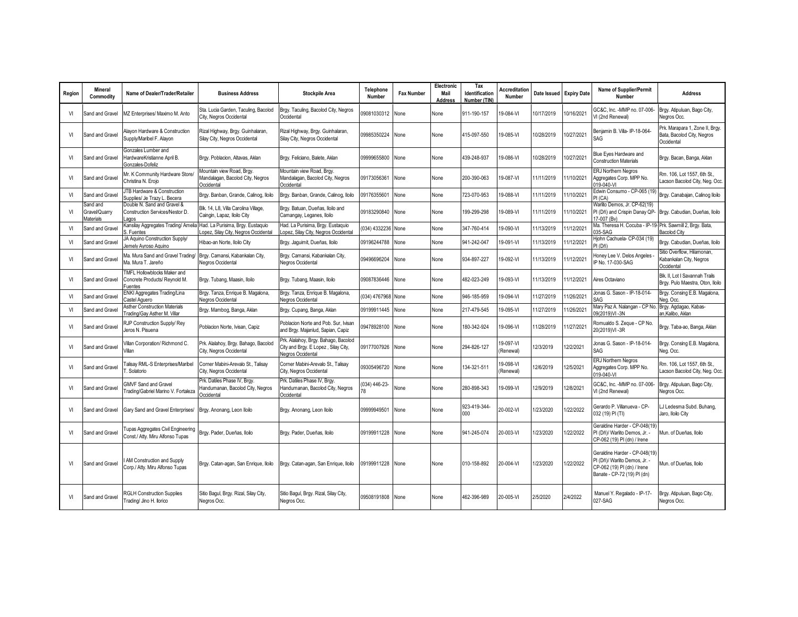| Region | <b>Mineral</b><br>Commodity            | Name of Dealer/Trader/Retailer                                         | <b>Business Address</b>                                                        | <b>Stockpile Area</b>                                                                            | Telephone<br>Number | <b>Fax Number</b> | Electronic<br>Mail<br>Address | Tax<br>Identification<br>Number (TIN) | <b>Accreditation</b><br>Number |            | Date Issued Expiry Date | Name of Supplier/Permit<br>Number                                                                                            | <b>Address</b>                                                              |
|--------|----------------------------------------|------------------------------------------------------------------------|--------------------------------------------------------------------------------|--------------------------------------------------------------------------------------------------|---------------------|-------------------|-------------------------------|---------------------------------------|--------------------------------|------------|-------------------------|------------------------------------------------------------------------------------------------------------------------------|-----------------------------------------------------------------------------|
| VI     | Sand and Gravel                        | VIZ Enterprises/ Maximo M. Anto                                        | Sta. Lucia Garden, Taculing, Bacolod<br>City, Negros Occidental                | Brgy. Taculing, Bacolod City, Negros<br>Occidental                                               | 09081030312         | None              | None                          | 911-190-157                           | 19-084-VI                      | 10/17/2019 | 10/16/2021              | GC&C, Inc. - MMP no. 07-006-<br>VI (2nd Renewal)                                                                             | Brgy. Atipuluan, Bago City,<br>Negros Occ.                                  |
| VI     | Sand and Gravel                        | Alayon Hardware & Construction<br>Supply/Maribel F. Alavon             | Rizal Highway, Brgy. Guinhalaran,<br>Silay City, Negros Occidental             | Rizal Highway, Brgy. Guinhalaran,<br>Silay City, Negros Occidental                               | 09985350224         | None              | None                          | 415-097-550                           | 19-085-VI                      | 10/28/2019 | 10/27/2021              | Benjamin B. Villa- IP-18-064-<br>SAG                                                                                         | Prk. Marapara 1, Zone II, Brgy.<br>Bata, Bacolod City, Negros<br>Occidental |
| VI     | Sand and Gravel                        | Gonzales Lumber and<br>HardwareKristianne April B.<br>Gonzales-Dofeliz | Brgy. Poblacion, Altavas, Aklan                                                | Brgy. Feliciano, Balete, Aklan                                                                   | 09999655800         | None              | None                          | 439-248-937                           | 19-086-VI                      | 10/28/2019 | 10/27/2021              | Blue Eyes Hardware and<br><b>Construction Materials</b>                                                                      | Brgy. Bacan, Banga, Aklan                                                   |
| VI     | Sand and Gravel                        | Mr. K Community Hardware Store,<br>Christina N. Eroio                  | Mountain view Road, Brgy.<br>Mandalagan, Bacolod City, Negros<br>Occidental    | Mountain view Road, Brgy.<br>Mandalagan, Bacolod City, Negros<br>Occidental                      | 09173056361         | None              | None                          | 200-390-063                           | 19-087-VI                      | 11/11/2019 | 11/10/2021              | ERJ Northern Negros<br>Aggregates Corp. MPP No.<br>019-040-VI                                                                | Rm. 106. Lot 1557. 6th St<br>acson Bacolod City, Neg. Occ.                  |
| VI     | Sand and Gravel                        | JTB Hardware & Construction<br>Supplies/ Je Trazy L. Becera            | Brgy. Banban, Grande, Calinog, Iloilo                                          | Brgy. Banban, Grande, Calinog, Iloilo                                                            | 09176355601         | None              | None                          | 723-070-953                           | 9-088-VI                       | 11/11/2019 | 1/10/2021               | Edwin Consumo - CP-065 (19)<br>PI (CA)                                                                                       | Brgy. Canabajan, Calinog Iloilo                                             |
| VI     | Sand and<br>Gravel/Quarry<br>Materials | Double N. Sand and Gravel &<br>Construction Services/Nestor D.<br>agos | Blk. 14. L8. Villa Carolina Village.<br>Caingin, Lapaz, Iloilo City            | Brgy. Batuan, Dueñas, Iloilo and<br>Camangay, Leganes, Iloilo                                    | 09183290840         | None              | None                          | 99-299-298                            | 19-089-VI                      | 11/11/2019 | 1/10/2021               | Warlito Demos, Jr. CP-62(19)<br>PI (Dñ) and Crispin Danay QP-<br>17-007 (Bv)                                                 | Brgy. Cabudian, Dueñas, Iloilo                                              |
| VI     | Sand and Gravel                        | <b>Kansilay Aggregates Trading/ Amelia</b><br>. Fuentes                | Had. La Purisima, Brgy. Eustaquio<br>opez, Silay City, Negros Occidental       | Had. La Purisima, Brgy. Eustaquio<br>Lopez, Silay City, Negros Occidental                        | (034) 4332236       | None              | None                          | 347-760-414                           | 19-090-VI                      | 11/13/2019 | 1/12/2021               | Ma. Theresa H. Cocuba - IP-19- Prk. Sawmill 2, Brgy. Bata,<br>035-SAG                                                        | <b>Bacolod City</b>                                                         |
| VI     | Sand and Gravel                        | A Aquino Construction Supply/<br>lemely Avroso Aguino                  | Hibao-an Norte, Iloilo Citv                                                    | Brgy. Jaquimit, Dueñas, Iloilo                                                                   | 09196244788         | None              | None                          | 941-242-047                           | 9-091-VI                       | 11/13/2019 | 11/12/2021              | Hjohn Cachuela- CP-034 (19)<br>PI (Dñ)                                                                                       | Brgy. Cabudian, Dueñas, Iloilo                                              |
| VI     | Sand and Gravel                        | Ma. Mura Sand and Gravel Trading/<br>Ma. Mura T. Jareño                | Brgy. Camansi, Kabankalan City,<br>Negros Occidental                           | Brgy. Camansi, Kabankalan City,<br>Negros Occidental                                             | 09496696204         | None              | None                          | 934-897-227                           | 9-092-VI                       | 11/13/2019 | 1/12/2021               | Honey Lee V. Delos Angeles -<br>IP No. 17-030-SAG                                                                            | Sitio Overflow, Hilamonan,<br>Kabankalan City, Negros<br>Occidental         |
| VI     | Sand and Gravel                        | TMFL Hollowblocks Maker and<br>Concrete Products/ Reynold M.<br>uentes | Brgy. Tubang, Maasin, Iloilo                                                   | Brgy. Tubang, Maasin, Iloilo                                                                     | 09087836446         | None              | None                          | 482-023-249                           | 19-093-VI                      | 11/13/2019 | 11/12/2021              | Aires Octaviano                                                                                                              | Blk. II. Lot I Savannah Trails<br>Brgy. Pulo Maestra, Oton, Iloilo          |
| VI     | Sand and Gravel                        | ENKI Aggregates Trading/Lina<br>Castel Aquero                          | Brgy. Tanza, Enrique B. Magalona,<br>Negros Occidental                         | Brgy. Tanza, Enrique B. Magalona,<br>Negros Occidental                                           | (034) 4767968 None  |                   | None                          | 946-185-959                           | 19-094-VI                      | 11/27/2019 | 1/26/2021               | Jonas G. Sason - IP-18-014-<br><b>SAG</b>                                                                                    | Brgy. Consing E.B. Magalona,<br>Neg. Occ.                                   |
| VI     | Sand and Gravel                        | Asther Construction Materials<br>Frading/Gay Asther M. Villar          | Brgy. Mambog, Banga, Aklan                                                     | Brgy. Cupang, Banga, Aklan                                                                       | 09199911445         | None              | None                          | 217-479-545                           | $9-095-V1$                     | 11/27/2019 | 1/26/2021               | Mary Paz A. Nalangan - CP No<br>09(2019)VI-3N                                                                                | Brgy. Agdagao, Kabas-<br>an.Kalibo, Aklan                                   |
| VI     | Sand and Gravel                        | RJP Construction Supply/ Rey<br>leros N. Pisuena                       | Poblacion Norte, Ivisan, Capiz                                                 | Poblacion Norte and Pob. Sur. Ivisan<br>and Brgy. Majanlud, Sapian, Capiz                        | 09478928100         | None              | None                          | 80-342-924                            | 9-096-VI                       | 11/28/2019 | 1/27/2021               | Romualdo S. Zeque - CP No.<br>20(2019)VI-3R                                                                                  | Brgy. Taba-ao, Banga, Aklan                                                 |
| VI     | Sand and Gravel                        | /illan Corporation/ Richmond C.<br>/illan                              | Prk. Alalahoy, Brgy. Bahago, Bacolod<br>City, Negros Occidental                | Prk. Alalahoy, Brgy. Bahago, Bacolod<br>City and Brgy. E Lopez, Silay City,<br>Negros Occidental | 09177007926         | None              | None                          | 294-826-127                           | 9-097-VI<br>Renewal)           | 12/3/2019  | 12/2/2021               | Jonas G. Sason - IP-18-014-<br>SAG                                                                                           | Brgy. Consing E.B. Magalona,<br>Neg. Occ.                                   |
| VI     | Sand and Gravel                        | alisay RML-S Enterprises/Maribel<br>Solatorio                          | Corner Mabini-Arevalo St., Talisav<br>City, Negros Occidental                  | Corner Mabini-Arevalo St., Talisav<br>City, Negros Occidental                                    | 09305496720         | None              | None                          | 134-321-511                           | 9-098-VI<br>Renewal)           | 12/6/2019  | 2/5/2021                | <b>ERJ Northern Negros</b><br>Aggregates Corp. MPP No.<br>019-040-VI                                                         | Rm. 106. Lot 1557. 6th St<br>acson Bacolod City, Neg. Occ.                  |
| VI     | Sand and Gravel                        | <b>GMVF Sand and Gravel</b><br>rading/Gabriel Marino V. Fortaleza      | Prk. Datiles Phase IV, Brgy.<br>Handumanan, Bacolod City, Negros<br>Occidental | Prk. Datiles Phase IV, Brgy.<br>Handumanan, Bacolod City, Negros<br>Occidental                   | (034) 446-23-       | None              | None                          | 280-898-343                           | 19-099-VI                      | 12/9/2019  | 12/8/2021               | GC&C. Inc. - MMP no. 07-006-<br>VI (2nd Renewal)                                                                             | Brgy. Atipuluan, Bago City,<br>Nearos Occ.                                  |
| VI     | Sand and Gravel                        | Gary Sand and Gravel Enterprises/                                      | Brgy. Anonang, Leon Iloilo                                                     | Brgy. Anonang, Leon Iloilo                                                                       | 09999949501         | None              | None                          | 923-419-344-<br>$000 -$               | 20-002-VI                      | 1/23/2020  | /22/2022                | Gerardo P. Villanueva - CP-<br>032 (19) PI (TI)                                                                              | LJ Ledesma Subd. Buhang,<br>Jaro, Iloilo City                               |
| VI     | Sand and Gravel                        | Tupas Aggregates Civil Engineering<br>Const./ Atty. Miru Alfonso Tupas | Brgy. Pader, Dueñas, Iloilo                                                    | Brgy. Pader, Dueñas, Iloilo                                                                      | 09199911228         | None              | None                          | 941-245-074                           | 20-003-VI                      | 1/23/2020  | /22/2022                | Geraldine Harder - CP-048(19)<br>PI (Dñ)/ Warlito Demos, Jr. -<br>CP-062 (19) PI (dn) / Irene                                | Mun. of Dueñas, Iloilo                                                      |
| VI     | Sand and Gravel                        | AM Construction and Supply<br>Corp./ Atty. Miru Alfonso Tupas          | Brgy. Catan-agan, San Enrique, Iloilo                                          | Brgy. Catan-agan, San Enrique, Iloilo                                                            | 09199911228 None    |                   | None                          | 010-158-892                           | 20-004-VI                      | 1/23/2020  | /22/2022                | Geraldine Harder - CP-048(19)<br>PI (Dñ)/ Warlito Demos, Jr. -<br>CP-062 (19) PI (dn) / Irene<br>Banate - CP-72 (19) PI (dn) | Mun. of Dueñas, Iloilo                                                      |
| VI     | Sand and Gravel                        | <b>RGLH Construction Supplies</b><br>Frading/ Jino H. Ilorico          | Sitio Bagul, Brgy. Rizal, Silay City,<br>Negros Occ.                           | Sitio Bagul, Brgy. Rizal, Silay City,<br>Negros Occ.                                             | 09508191808         | None              | None                          | 462-396-989                           | 20-005-VI                      | 2/5/2020   | 2/4/2022                | Manuel Y. Regalado - IP-17-<br>027-SAG                                                                                       | Brgy. Atipuluan, Bago City,<br>Negros Occ.                                  |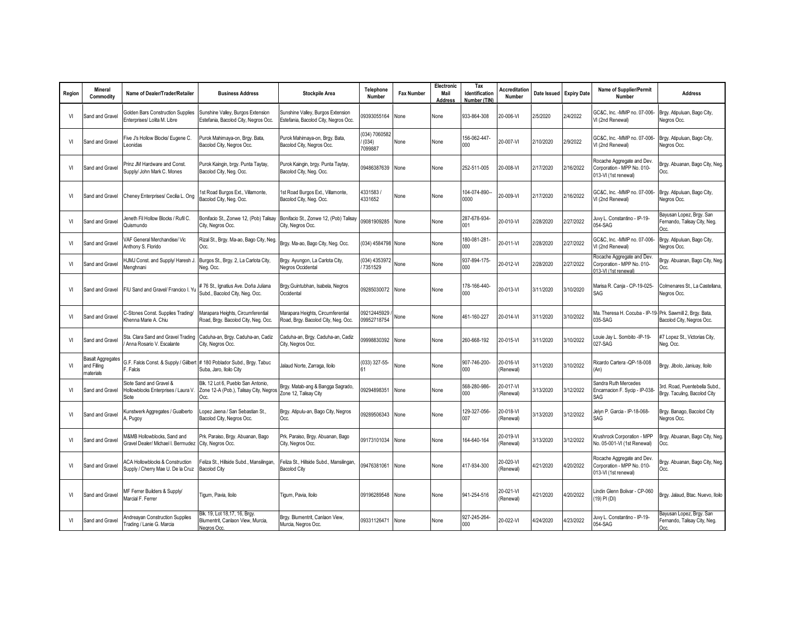| Region | Mineral<br>Commodity                                 | Name of Dealer/Trader/Retailer                                                       | <b>Business Address</b>                                                              | <b>Stockpile Area</b>                                                     | Telephone<br>Number               | <b>Fax Number</b> | Electronic<br>Mail<br>Address | Tax<br>Identification<br>Number (TIN | Accreditation<br>Number | Date Issued | <b>Expiry Date</b> | <b>Name of Supplier/Permit</b><br>Number                                         | <b>Address</b>                                                   |
|--------|------------------------------------------------------|--------------------------------------------------------------------------------------|--------------------------------------------------------------------------------------|---------------------------------------------------------------------------|-----------------------------------|-------------------|-------------------------------|--------------------------------------|-------------------------|-------------|--------------------|----------------------------------------------------------------------------------|------------------------------------------------------------------|
| VI     | Sand and Gravel                                      | Golden Bars Construction Supplies<br>Enterprises/ Lolita M. Libre                    | Sunshine Valley, Burgos Extension<br>Estefania, Bacolod City, Negros Occ.            | Sunshine Valley, Burgos Extension<br>Estefania, Bacolod City, Negros Occ. | 09393055164                       | None              | None                          | 933-864-308                          | 20-006-VI               | 2/5/2020    | 2/4/2022           | GC&C. Inc. - MMP no. 07-006-<br>VI (2nd Renewal)                                 | Brgy. Atipuluan, Bago City,<br>Negros Occ.                       |
| VI     | Sand and Gravel                                      | Five J's Hollow Blocks/ Eugene C.<br>eonidas                                         | Purok Mahimaya-on, Brgy. Bata,<br>Bacolod City, Negros Occ.                          | Purok Mahimaya-on, Brgy. Bata,<br>Bacolod City, Negros Occ.               | (034) 7060582<br>(034)<br>7099887 | None              | None                          | 156-062-447-<br>$000 -$              | 20-007-VI               | 2/10/2020   | 2/9/2022           | GC&C. Inc. - MMP no. 07-006-<br>VI (2nd Renewal)                                 | Brgy. Atipuluan, Bago City,<br>Negros Occ.                       |
| VI     | Sand and Gravel                                      | Prinz JM Hardware and Const.<br>Supply/ John Mark C. Mones                           | Purok Kaingin, brgy. Punta Taytay,<br>Bacolod City, Neg. Occ.                        | Purok Kaingin, brgy. Punta Taytay,<br>Bacolod City, Neg. Occ.             | 09486387639                       | None              | None                          | 252-511-005                          | 20-008-VI               | 2/17/2020   | 2/16/2022          | Rocache Aggregate and Dev.<br>Corporation - MPP No. 010-<br>013-VI (1st renewal) | Brgy. Abuanan, Bago City, Neg.<br>Occ.                           |
| VI     | Sand and Gravel                                      | Cheney Enterprises/ Cecilia L. Ong                                                   | Ist Road Burgos Ext., Villamonte,<br>Bacolod City, Neg. Occ.                         | 1st Road Burgos Ext., Villamonte,<br>Bacolod City, Neg. Occ.              | 4331583/<br>4331652               | None              | None                          | 104-074-890--<br>0000                | 20-009-VI               | 2/17/2020   | 2/16/2022          | GC&C, Inc. -MMP no. 07-006-<br>VI (2nd Renewal)                                  | Brgy. Atipuluan, Bago City,<br>Negros Occ.                       |
| VI     | Sand and Gravel                                      | Jeneth Fil Hollow Blocks / Rufil C.<br>Quismundo                                     | Bonifacio St., Zonwe 12, (Pob) Talisay<br>City, Negros Occ.                          | Bonifacio St., Zonwe 12, (Pob) Talisay<br>City, Negros Occ.               | 09081909285                       | None              | None                          | 287-678-934-<br>001                  | 20-010-VI               | 2/28/2020   | 2/27/2022          | Juvy L. Constantino - IP-19-<br>054-SAG                                          | Bayusan Lopez, Brgy. San<br>Fernando, Talisay City, Neg.<br>Occ. |
| VI     | Sand and Gravel                                      | /AF General Merchandise/ Vic<br>Anthony S. Florido                                   | Rizal St., Brgy. Ma-ao, Bago City, Neg<br>Occ.                                       | Brgy. Ma-ao, Bago City, Neg. Occ.                                         | (034) 4584798 None                |                   | None                          | 180-081-281-<br>000                  | 20-011-VI               | 2/28/2020   | 2/27/2022          | GC&C, Inc. - MMP no. 07-006-<br>VI (2nd Renewal)                                 | Brgy. Atipuluan, Bago City,<br>Jegros Occ.                       |
| VI     | Sand and Gravel                                      | HJMJ Const. and Supply/ Haresh J.<br>Menghnani                                       | Burgos St., Brgy. 2, La Carlota City,<br>Neg. Occ.                                   | Brgy. Ayungon, La Carlota City,<br>Negros Occidental                      | 034) 4353972<br>7351529           | None              | None                          | 937-894-175-<br>000                  | 20-012-VI               | 2/28/2020   | 2/27/2022          | Rocache Aggregate and Dev<br>Corporation - MPP No. 010-<br>013-VI (1st renewal)  | Brgy. Abuanan, Bago City, Neg.<br>Occ.                           |
| VI     | Sand and Gravel                                      | FIU Sand and Gravel/ Francico I. Y                                                   | #76 St., Ignatius Ave. Doña Juliana<br>Subd., Bacolod City, Neg. Occ.                | Brgy.Guintubhan, Isabela, Negros<br>Occidental                            | 09285030072                       | None              | None                          | 178-166-440-<br>000                  | 20-013-VI               | 3/11/2020   | 3/10/2020          | Marisa R. Canja - CP-19-025-<br>SAG                                              | Colmenares St., La Castellana,<br>Negros Occ.                    |
| VI     | Sand and Gravel                                      | C-Stones Const. Supplies Trading/<br>Khenna Marie A. Chiu                            | Marapara Heights, Circumferential<br>Road, Brgy. Bacolod City, Neg. Occ.             | Marapara Heights, Circumferential<br>Road, Brgy. Bacolod City, Neg. Occ.  | 09212445929<br>09952718754        | None              | None                          | 461-160-227                          | 20-014-VI               | 3/11/2020   | 3/10/2022          | Ma. Theresa H. Cocuba - IP-19- Prk. Sawmill 2, Brgy. Bata,<br>035-SAG            | Bacolod City, Negros Occ.                                        |
| VI     | Sand and Gravel                                      | Sta. Clara Sand and Gravel Trading<br>Anna Rosario V. Escalante                      | Caduha-an, Brgy. Caduha-an, Cadiz<br>City, Negros Occ.                               | Caduha-an, Brgy. Caduha-an, Cadiz<br>City, Negros Occ.                    | 09998830392                       | None              | None                          | 260-668-192                          | 20-015-VI               | 3/11/2020   | 3/10/2022          | Louie Jay L. Sombito - IP-19-<br>027-SAG                                         | #7 Lopez St., Victorias City,<br>Neg. Occ.                       |
| VI     | <b>Basalt Aggregates</b><br>and Filling<br>materials | G.F. Falcis Const. & Supply / Gilbert # 180 Poblador Subd., Brgy. Tabuc<br>F. Falcis | Suba, Jaro, Iloilo City                                                              | Jalaud Norte, Zarraga, Iloilo                                             | (033) 327-55-                     | None              | None                          | 907-746-200-<br>000                  | 20-016-VI<br>(Renewal)  | 3/11/2020   | 3/10/2022          | Ricardo Cartera - QP-18-008<br>(An)                                              | Brgy. Jibolo, Janiuay, Iloilo                                    |
| VI     | Sand and Gravel                                      | Siote Sand and Gravel &<br>Hollowblocks Enterprises / Laura V.<br>Siote              | Blk. 12 Lot 6. Pueblo San Antonio.<br>Zone 12-A (Pob.), Talisay City, Negros<br>Occ. | Brgy. Matab-ang & Bangga Sagrado,<br>Zone 12, Talisay City                | 09294898351                       | None              | None                          | 568-280-986-<br>000                  | 20-017-VI<br>(Renewal)  | 3/13/2020   | 3/12/2022          | Sandra Ruth Mercedes<br>Encarnacion F. Sycip - IP-038-<br>SAG                    | 3rd. Road, Puentebella Subd.<br>Brgy. Taculing, Bacolod City     |
| VI     | Sand and Gravel                                      | Kunstwerk Aggregates / Gualberto<br>. Pugoy                                          | Lopez Jaena / San Sebastian St.,<br>Bacolod City, Negros Occ.                        | Brgy. Atipulu-an, Bago City, Negros<br>Occ.                               | 09289506343                       | None              | None                          | 129-327-056-<br>007                  | 20-018-VI<br>(Renewal)  | 3/13/2020   | 3/12/2022          | Jelyn P. Garcia - IP-18-068-<br>SAG                                              | Brgy. Banago, Bacolod City<br>Negros Occ.                        |
| VI     | Sand and Gravel                                      | <b>M&amp;MB Hollowblocks, Sand and</b><br>Gravel Dealer/ Michael I. Bermudez         | Prk. Paraiso, Brgy. Abuanan, Bago<br>City, Negros Occ.                               | Prk. Paraiso, Brgy. Abuanan, Bago<br>City, Negros Occ.                    | 09173101034                       | None              | None                          | 164-640-164                          | 20-019-VI<br>(Renewal)  | 3/13/2020   | 3/12/2022          | Krushrock Corporation - MPP<br>No. 05-001-VI (1st Renewal)                       | Brgy. Abuanan, Bago City, Neg.<br>Occ.                           |
| VI     | Sand and Gravel                                      | <b>ACA Hollowblocks &amp; Construction</b><br>Supply / Cherry Mae U. De la Cruz      | Feliza St., Hillside Subd., Mansilingan<br><b>Bacolod City</b>                       | Feliza St., Hillside Subd., Mansilingan<br><b>Bacolod City</b>            | 09476381061                       | None              | None                          | 417-934-300                          | 20-020-VI<br>(Renewal)  | 4/21/2020   | 4/20/2022          | Rocache Aggregate and Dev.<br>Corporation - MPP No. 010-<br>013-VI (1st renewal) | Brgy. Abuanan, Bago City, Neg.<br>Occ.                           |
| VI     | Sand and Gravel                                      | MF Ferrer Builders & Supply/<br>Marcial F. Ferrer                                    | Tigum, Pavia, Iloilo                                                                 | Tigum, Pavia, Iloilo                                                      | 09196289548                       | None              | None                          | 941-254-516                          | 20-021-VI<br>(Renewal)  | 4/21/2020   | 4/20/2022          | Lindin Glenn Bolivar - CP-060<br>(19) PI (DI)                                    | Brgy. Jalaud, Btac. Nuevo, Iloilo                                |
| VI     | Sand and Gravel                                      | Andreayan Construction Supplies<br>Trading / Lanie G. Marcia                         | Blk. 19, Lot 18,17, 16, Brgy.<br>Blumentrit, Canlaon View, Murcia,<br>Negros Occ.    | Brgy. Blumentrit, Canlaon View,<br>Murcia, Negros Occ.                    | 09331126471                       | None              | None                          | 927-245-264-<br>000                  | 20-022-VI               | 4/24/2020   | 4/23/2022          | Juvy L. Constantino - IP-19-<br>054-SAG                                          | Bayusan Lopez, Brgy. San<br>Fernando, Talisay City, Neg.         |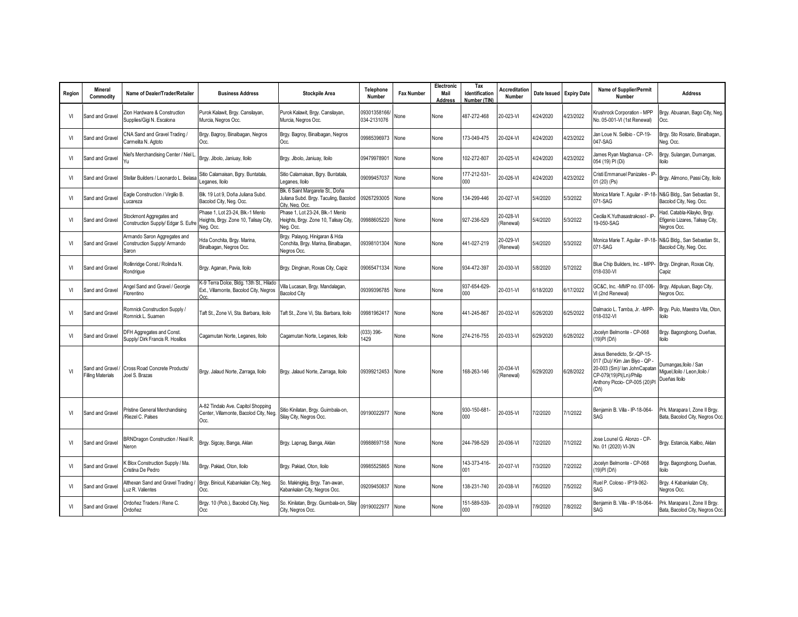| Region | Mineral<br>Commodity                        | Name of Dealer/Trader/Retailer                                        | <b>Business Address</b>                                                                   | <b>Stockpile Area</b>                                                                        | Telephone<br>Number         | <b>Fax Number</b> | Electronic<br>Mail<br><b>Address</b> | Tax<br>Identification<br>Number (TIN) | <b>Accreditation</b><br>Number | Date Issued | <b>Expiry Date</b> | Name of Supplier/Permit<br>Number                                                                                                                                | <b>Address</b>                                                                            |
|--------|---------------------------------------------|-----------------------------------------------------------------------|-------------------------------------------------------------------------------------------|----------------------------------------------------------------------------------------------|-----------------------------|-------------------|--------------------------------------|---------------------------------------|--------------------------------|-------------|--------------------|------------------------------------------------------------------------------------------------------------------------------------------------------------------|-------------------------------------------------------------------------------------------|
| VI     | Sand and Gravel                             | Zion Hardware & Construction<br>Supplies/Gigi N. Escalona             | Purok Kalawit, Brgy. Cansilayan,<br>Murcia, Negros Occ.                                   | Purok Kalawit, Brgy. Cansilayan,<br>Murcia, Negros Occ.                                      | 09301358166/<br>034-2131076 | None              | None                                 | 487-272-468                           | 20-023-VI                      | 4/24/2020   | 4/23/2022          | Krushrock Corporation - MPP<br>No. 05-001-VI (1st Renewal)                                                                                                       | Brgy. Abuanan, Bago City, Neg.<br>Occ.                                                    |
| VI     | Sand and Gravel                             | CNA Sand and Gravel Trading /<br>Carmelita N. Agtoto                  | Brgy. Bagroy, Binalbagan, Negros<br>Occ.                                                  | Brgy. Bagroy, Binalbagan, Negros<br>Occ.                                                     | 09985396973                 | None              | None                                 | 173-049-475                           | 20-024-VI                      | 4/24/2020   | 4/23/2022          | Jan Loue N. Selibio - CP-19-<br>047-SAG                                                                                                                          | Brgy. Sto Rosario, Binalbagan.<br>Neg. Occ.                                               |
| VI     | Sand and Gravel                             | Niel's Merchandising Center / Niel L<br>Yu                            | Brgy. Jibolo, Janiuay, Iloilo                                                             | Brgy. Jibolo, Janiuay, Iloilo                                                                | 09479978901                 | None              | None                                 | 02-272-807                            | 20-025-VI                      | 4/24/2020   | 4/23/2022          | James Ryan Magbanua - CP-<br>054 (19) PI (Di)                                                                                                                    | Brgy. Sulangan, Dumangas,<br>lloilo                                                       |
| VI     | Sand and Gravel                             | Stellar Builders / Leonardo L. Belasa                                 | Sitio Calamaisan, Bgry. Buntatala,<br>Leganes, Iloilo                                     | Sitio Calamaisan, Bgry. Buntatala,<br>Leganes, Iloilo                                        | 09099457037                 | None              | None                                 | 177-212-531-<br>$000 -$               | 20-026-VI                      | 4/24/2020   | 4/23/2022          | Cristi Emmanuel Panizales - IP<br>01 (20) (Ps)                                                                                                                   | Brgy. Alimono, Passi City, Iloilo                                                         |
| VI     | Sand and Gravel                             | Eagle Construction / Virgilio B.<br>Lucareza                          | Blk. 19 Lot 9, Doña Juliana Subd.<br>Bacolod City, Neg. Occ.                              | Blk. 6 Saint Margarete St., Doña<br>Juliana Subd. Brgy. Taculing, Bacolod<br>City, Nea, Occ. | 09267293005                 | None              | None                                 | 134-299-446                           | 20-027-VI                      | 5/4/2020    | 5/3/2022           | 071-SAG                                                                                                                                                          | Monica Marie T. Aquilar - IP-18- N&G Bldg., San Sebastian St.,<br>Bacolod City, Neg. Occ. |
| VI     | Sand and Gravel                             | Stockmont Aggregates and<br>Construction Supply/ Edgar S. Eufr        | Phase 1. Lot 23-24. Blk -1 Menlo<br>Heights, Brgy. Zone 10, Talisay City,<br>Neg. Occ.    | Phase 1. Lot 23-24. Blk -1 Menlo<br>Heights, Brgy. Zone 10, Talisay City,<br>Neg. Occ.       | 09988605220                 | None              | None                                 | 927-236-529                           | 20-028-VI<br>(Renewal)         | 5/4/2020    | 5/3/2022           | Cecilia K.Yuthasastrakosol - IP<br>19-050-SAG                                                                                                                    | Had. Catabla-Kilayko, Brgy.<br>Efigenio Lizares, Talisay City,<br>Negros Occ.             |
| VI     | Sand and Gravel                             | Armando Saron Aggregates and<br>Construction Supply/ Armando<br>Saron | Hda Conchita, Brgy. Marina,<br>Binalbagan, Negros Occ.                                    | Brgy. Palayog, Hinigaran & Hda<br>Conchita, Brgy. Marina, Binalbagan,<br>Negros Occ.         | 09398101304                 | None              | None                                 | 441-027-219                           | 20-029-VI<br>(Renewal)         | 5/4/2020    | 5/3/2022           | Monica Marie T. Aquilar - IP-18-<br>071-SAG                                                                                                                      | N&G Bldg., San Sebastian St.,<br>Bacolod City, Neg. Occ.                                  |
| VI     | Sand and Gravel                             | Rollinridge Const./ Rolinda N.<br>Rondrigue                           | Brgy. Aganan, Pavia, Iloilo                                                               | Brgy. Dinginan, Roxas City, Capiz                                                            | 09065471334                 | None              | None                                 | 934-472-397                           | 20-030-VI                      | 5/8/2020    | 5/7/2022           | Blue Chip Builders, Inc. - MPP-<br>018-030-VI                                                                                                                    | Brgy. Dinginan, Roxas City,<br>Capiz                                                      |
| VI     | Sand and Gravel                             | Angel Sand and Gravel / Georgie<br>Florentino                         | K-9 Terra Dolce, Bldg. 13th St., Hilado<br>Ext., Villamonte, Bacolod City, Negros<br>Occ. | Villa Lucasan, Brgy. Mandalagan,<br><b>Bacolod City</b>                                      | 09399396785                 | None              | None                                 | 937-654-629-<br>$000 -$               | 20-031-VI                      | 6/18/2020   | 6/17/2022          | GC&C, Inc. - MMP no. 07-006-<br>VI (2nd Renewal)                                                                                                                 | Brgy. Atipuluan, Bago City,<br>Negros Occ.                                                |
| VI     | Sand and Gravel                             | Romnick Construction Supply /<br>Romnick L. Suamen                    | Taft St., Zone Vi, Sta. Barbara, Iloilo                                                   | Taft St., Zone Vi, Sta. Barbara, Iloilo                                                      | 09981962417                 | None              | None                                 | 441-245-867                           | 20-032-VI                      | 6/26/2020   | 6/25/2022          | Dalmacio L. Tamba, Jr. - MPP-<br>018-032-VI                                                                                                                      | Brgy. Pulo, Maestra Vita, Oton,<br>lloilo                                                 |
| VI     | Sand and Gravel                             | DFH Aggregates and Const.<br>Supply/ Dirk Francis R. Hosillos         | Cagamutan Norte, Leganes, Iloilo                                                          | Cagamutan Norte, Leganes, Iloilo                                                             | (033) 396-<br>1429          | None              | None                                 | 274-216-755                           | 20-033-VI                      | 6/29/2020   | 6/28/2022          | Jocelyn Belmonte - CP-068<br>(19)PI (Dñ)                                                                                                                         | Brgy. Bagongbong, Dueñas,<br>lloilo                                                       |
| VI     | Sand and Gravel<br><b>Filling Materials</b> | Cross Road Concrete Products/<br>Joel S. Brazas                       | Brgy. Jalaud Norte, Zarraga, Iloilo                                                       | Brgy. Jalaud Norte, Zarraga, Iloilo                                                          | 09399212453                 | None              | None                                 | 168-263-146                           | 20-034-VI<br>(Renewal)         | 6/29/2020   | 6/28/2022          | Jesus Benedicto, Sr.-QP-15-<br>017 (Du)/ Kim Jan Biyo - QP -<br>20-003 (Sm)/ lan JohnCapatan<br>CP-079(19)PI(Ln)/Philip<br>Anthony Piccio- CP-005 (20)PI<br>(Dñ) | Dumangas, Iloilo / San<br>Miguel.lloilo / Leon.lloilo /<br>Dueñas Iloilo                  |
| VI     | Sand and Gravel                             | Pristine General Merchandising<br>Riezel C. Palses                    | 4-82 Tindalo Ave. Capitol Shopping<br>Center, Villamonte, Bacolod City, Neg.<br>Occ.      | Sitio Kinilatan, Brgy. Guimbala-on,<br>Silay City, Negros Occ.                               | 09190022977                 | None              | None                                 | 930-150-681-<br>000                   | 20-035-VI                      | 7/2/2020    | 7/1/2022           | Beniamin B. Villa - IP-18-064-<br>SAG                                                                                                                            | Prk. Marapara I, Zone II Brgy.<br>Bata, Bacolod City, Negros Occ.                         |
| VI     | Sand and Gravel                             | BRNDragon Construction / Neal R.<br>Neron                             | Brgy. Sigcay, Banga, Aklan                                                                | Brgy. Lapnag, Banga, Aklan                                                                   | 09988697158                 | None              | None                                 | 244-798-529                           | 20-036-VI                      | 7/2/2020    | 7/1/2022           | Jose Lounel G. Alonzo - CP-<br>No. 01 (2020) VI-3N                                                                                                               | Brgy. Estancia, Kalibo, Aklan                                                             |
| VI     | Sand and Gravel                             | Blox Construction Supply / Ma.<br>Cristina De Pedro                   | Brgy. Pakiad, Oton, Iloilo                                                                | Brgy. Pakiad, Oton, Iloilo                                                                   | 09985525865                 | None              | None                                 | 143-373-416-<br>001                   | 20-037-VI                      | 7/3/2020    | 7/2/2022           | Jocelyn Belmonte - CP-068<br>(19)PI (Dñ)                                                                                                                         | Brgy. Bagongbong, Dueñas,<br>lloilo                                                       |
| VI     | Sand and Gravel                             | Althexan Sand and Gravel Trading /<br>Luz R. Valientes                | Brgy. Binicuil, Kabankalan City, Neg.<br>Occ.                                             | So. Makinigkig, Brgy. Tan-awan,<br>Kabankalan City, Negros Occ.                              | 09209450837                 | None              | None                                 | 138-231-740                           | 20-038-VI                      | 7/6/2020    | 7/5/2022           | Ruel P. Coloso - IP19-062-<br>SAG                                                                                                                                | Brgy. 4 Kabankalan City,<br>Negros Occ.                                                   |
| VI     | Sand and Gravel                             | Ordoñez Traders / Rene C.<br>Ordoñez                                  | Brgy. 10 (Pob.), Bacolod City, Neg.<br>Occ                                                | So. Kinilatan, Brgy. Giumbala-on, Silay<br>City, Negros Occ.                                 | 09190022977                 | None              | None                                 | 151-589-539-<br>000                   | 20-039-VI                      | 7/9/2020    | 7/8/2022           | Benjamin B. Villa - IP-18-064-<br>SAG                                                                                                                            | Prk. Marapara I, Zone II Brgy.<br>Bata, Bacolod City, Negros Occ.                         |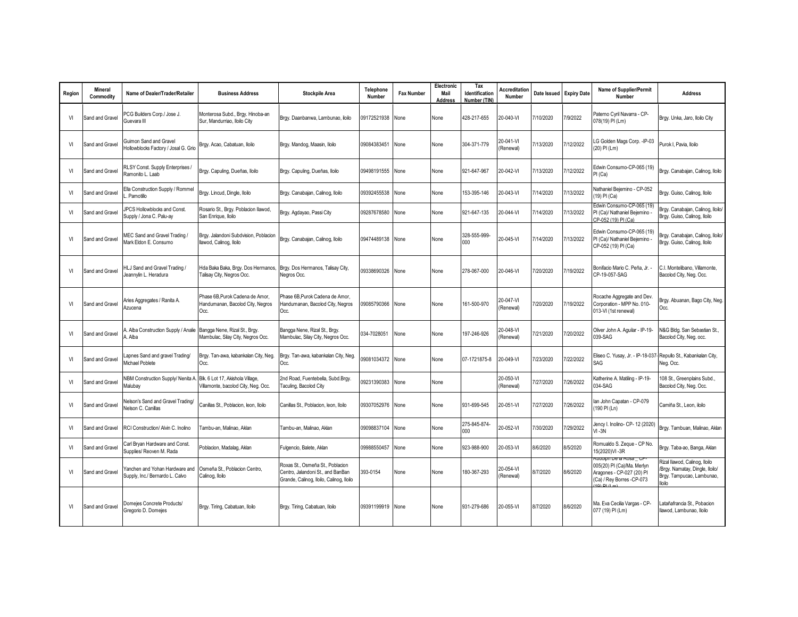| Region         | Mineral<br>Commodity | Name of Dealer/Trader/Retailer                                                        | <b>Business Address</b>                                                     | <b>Stockpile Area</b>                                                                                             | Telephone<br>Number | <b>Fax Number</b> | Electronic<br>Mail<br><b>Address</b> | Tax<br>Identification<br>Number (TIN | <b>Accreditation</b><br><b>Number</b> | Date Issued | <b>Expiry Date</b> | Name of Supplier/Permit<br>Number                                                                                                      | <b>Address</b>                                                                                                |
|----------------|----------------------|---------------------------------------------------------------------------------------|-----------------------------------------------------------------------------|-------------------------------------------------------------------------------------------------------------------|---------------------|-------------------|--------------------------------------|--------------------------------------|---------------------------------------|-------------|--------------------|----------------------------------------------------------------------------------------------------------------------------------------|---------------------------------------------------------------------------------------------------------------|
| V              | Sand and Gravel      | PCG Builders Corp./ Jose J.<br>Guevara III                                            | Monterosa Subd., Brgy. Hinoba-an<br>Sur, Mandurriao, Iloilo City            | Brgy. Daanbanwa, Lambunao, iloilo                                                                                 | 09172521938         | None              | None                                 | 428-217-655                          | 20-040-VI                             | /10/2020    | 7/9/2022           | Paterno Cyril Navarra - CP-<br>078(19) PI (Lm)                                                                                         | Brgy. Unka, Jaro, Iloilo City                                                                                 |
| <b>VI</b>      | Sand and Gravel      | Guimon Sand and Gravel<br>Iollowblocks Factory / Josal G. Grio                        | Brgy. Acao, Cabatuan, Iloilo                                                | Brgy. Mandog, Maasin, Iloilo                                                                                      | 09084383451         | None              | None                                 | 304-371-779                          | 20-041-VI<br>(Renewall                | /13/2020    | 7/12/2022          | G Golden Mags Corp. - IP-03<br>(20) PI (Lm)                                                                                            | Purok I, Pavia, Iloilo                                                                                        |
| VI             | Sand and Gravel      | RLSY Const. Supply Enterprises /<br>amonito L. Laab                                   | Brgy. Capuling, Dueñas, Iloilo                                              | Brgy. Capuling, Dueñas, Iloilo                                                                                    | 09498191555         | None              | None                                 | 921-647-967                          | 20-042-VI                             | 7/13/2020   | 7/12/2022          | Edwin Consumo-CP-065 (19)<br>PI (Ca)                                                                                                   | Brgy. Canabajan, Calinog, Iloilo                                                                              |
| VI             | Sand and Gravel      | Ella Construction Supply / Rommel<br>Pamotillo                                        | Brgy. Lincud, Dingle, Iloilo                                                | Brgy. Canabajan, Calinog, Iloilo                                                                                  | 09392455538         | None              | None                                 | 153-395-146                          | 20-043-VI                             | /14/2020    | 7/13/2022          | Vathaniel Bejemino - CP-052<br>19) PI (Ca)                                                                                             | Brgy. Guiso, Calinog, Iloilo                                                                                  |
| VI             | Sand and Gravel      | <b>IPCS Hollowblocks and Const.</b><br>Supply / Jona C. Palu-ay                       | Rosario St., Brgy. Poblacion Ilawod,<br>San Enrique, Iloilo                 | Brgy. Agdayao, Passi City                                                                                         | 09287678580         | None              | None                                 | 921-647-135                          | 20-044-VI                             | 7/14/2020   | 7/13/2022          | Edwin Consumo-CP-065 (19)<br>PI (Ca)/ Nathaniel Bejemino<br>CP-052 (19) PI (Ca)                                                        | Brgy. Canabajan, Calinog, Iloilo<br>Brgy. Guiso, Calinog, Iloilo                                              |
| V              | Sand and Gravel      | MEC Sand and Gravel Trading /<br>Mark Eldon E. Consumo                                | Brgy. Jalandoni Subdvision, Poblacion<br>Ilawod, Calinog, Iloilo            | Brgy. Canabajan, Calinog, Iloilo                                                                                  | 09474489138         | None              | None                                 | 328-555-999-<br>000                  | 20-045-VI                             | /14/2020    | 7/13/2022          | Edwin Consumo-CP-065 (19)<br>PI (Ca)/ Nathaniel Bejemino -<br>CP-052 (19) PI (Ca)                                                      | Brgy. Canabajan, Calinog, Iloilo/<br>Brgy. Guiso, Calinog, Iloilo                                             |
| V              | Sand and Gravel      | ILJ Sand and Gravel Trading /<br>leannylin L. Heradura                                | Hda Baka Baka, Brgy. Dos Hermanos,<br>Talisay City, Negros Occ.             | Brgy. Dos Hermanos, Talisay City,<br>Negros Occ.                                                                  | 09338690326         | None              | None                                 | 278-067-000                          | 20-046-VI                             | 7/20/2020   | 7/19/2022          | Bonifacio Mario C. Peña, Jr. -<br>CP-19-057-SAG                                                                                        | C.I. Montelibano. Villamonte.<br>Bacolod City, Neg. Occ.                                                      |
| VI             | Sand and Gravel      | vries Aggregates / Ranita A.<br>zucena                                                | Phase 6B, Purok Cadena de Amor,<br>Handumanan, Bacolod City, Negros<br>Occ. | Phase 6B, Purok Cadena de Amor.<br>Handumanan, Bacolod City, Negros<br>Occ.                                       | 09085790366         | None              | None                                 | 161-500-970                          | 20-047-VI<br>(Renewall                | 7/20/2020   | 7/19/2022          | Rocache Aggregate and Dev.<br>Corporation - MPP No. 010-<br>013-VI (1st renewal)                                                       | Brgy. Abuanan, Bago City, Neg.<br>Occ.                                                                        |
| VI             | Sand and Gravel      | Alba Construction Supply / Analie<br>Alba                                             | Bangga Nene, Rizal St., Brgy.<br>Mambulac, Silay City, Negros Occ.          | Bangga Nene, Rizal St., Brgy.<br>Mambulac, Silay City, Negros Occ.                                                | 034-7028051         | None              | None                                 | 197-246-926                          | 20-048-VI<br>(Renewall                | 7/21/2020   | 7/20/2022          | Oliver John A. Aquilar - IP-19-<br>039-SAG                                                                                             | <b>N&amp;G Bldg. San Sebastian St.,</b><br>Bacolod City, Neg. occ.                                            |
| V              | Sand and Gravel      | apnes Sand and gravel Trading/<br>Michael Poblete                                     | Brgy. Tan-awa, kabankalan City, Neg.<br>Occ.                                | Brgy. Tan-awa, kabankalan City, Neg.<br>Occ.                                                                      | 09081034372         | None              | None                                 | 07-1721875-8                         | 20-049-VI                             | /23/2020    | 7/22/2022          | Eliseo C. Yusay, Jr. - IP-18-037- Repullo St., Kabankalan City,<br>SAG                                                                 | Neg. Occ.                                                                                                     |
| VI             | Sand and Gravel      | IBM Construction Supply/ Nenita A. Blk. 6 Lot 17, Akishola Village,<br><i>Aalubav</i> | Villamonte, bacolod City, Neg. Occ.                                         | 2nd Road, Fuentebella, Subd.Brgy.<br>Taculing, Bacolod City                                                       | 09231390383         | None              | None                                 |                                      | 20-050-VI<br>(Renewal)                | 7/27/2020   | 7/26/2022          | <atherine -="" a.="" ip-19-<br="" matiling="">034-SAG</atherine>                                                                       | 108 St., Greenplains Subd.,<br>Bacolod City, Neg. Occ.                                                        |
| V              | Sand and Gravel      | lelson's Sand and Gravel Trading/<br>lelson C. Canillas                               | Canillas St., Poblacion, leon, Iloilo                                       | Canillas St., Poblacion, leon, Iloilo                                                                             | 09307052976         | None              | None                                 | 931-699-545                          | 20-051-VI                             | 7/27/2020   | 7/26/2022          | lan John Capatan - CP-079<br>190 PI (Ln)                                                                                               | Camiña St., Leon, iloilo                                                                                      |
| V <sub>1</sub> | Sand and Gravel      | RCI Construction/ Alvin C. Inolino                                                    | ambu-an, Malinao, Aklan                                                     | Tambu-an, Malinao, Aklan                                                                                          | 09098837104         | None              | None                                 | 275-845-874-<br>000                  | 20-052-VI                             | 7/30/2020   | /29/2022           | Jency I. Inolino- CP- 12 (2020)<br>$VI - 3N$                                                                                           | Brgy. Tambuan, Malinao, Aklan                                                                                 |
| VI             | Sand and Gravel      | Carl Brvan Hardware and Const.<br>Supplies/ Reoven M. Rada                            | Poblacion, Madalag, Aklan                                                   | Fulgencio, Balete, Aklan                                                                                          | 09988550457         | None              | None                                 | 923-988-900                          | 20-053-VI                             | 8/6/2020    | 8/5/2020           | Romualdo S. Zeque - CP No.<br>15(2020)VI-3R                                                                                            | Brgy. Taba-ao, Banga, Aklan                                                                                   |
| VI             | Sand and Gravel      | anchen and Yohan Hardware and<br>Supply, Inc./ Bernardo L. Calvo                      | Osmeña St., Poblacion Centro.<br>Calinog, Iloilo                            | Roxas St., Osmeña St., Poblacion<br>Centro, Jalandoni St., and BanBan<br>Grande, Calinog, Iloilo, Calinog, Iloilo | 393-0154            | None              | None                                 | 180-367-293                          | 20-054-VI<br>(Renewal)                | 8/7/2020    | 8/6/2020           | <del>kudolph De la Rosa _ CP-</del><br>005(20) PI (Ca)/Ma. Merlyn<br>Aragones - CP-027 (20) PI<br>(Ca) / Rey Borres - CP-073<br>101011 | Rizal llawod, Calinog, Iloilo<br>Brgy. Namatay, Dingle, Iloilo/<br>Brgy. Tampucao, Lambunao,<br><b>Iloilo</b> |
| VI             | Sand and Gravel      | Domeies Concrete Products/<br>Gregorio D. Domeies                                     | Brgy. Tiring, Cabatuan, Iloilo                                              | Brgy. Tiring, Cabatuan, Iloilo                                                                                    | 09391199919         | None              | None                                 | 931-279-686                          | 20-055-VI                             | 8/7/2020    | 8/6/2020           | Ma. Eva Cecilia Vargas - CP-<br>077 (19) PI (Lm)                                                                                       | atañafrancia St., Pobacion<br>Ilawod, Lambunao, Iloilo                                                        |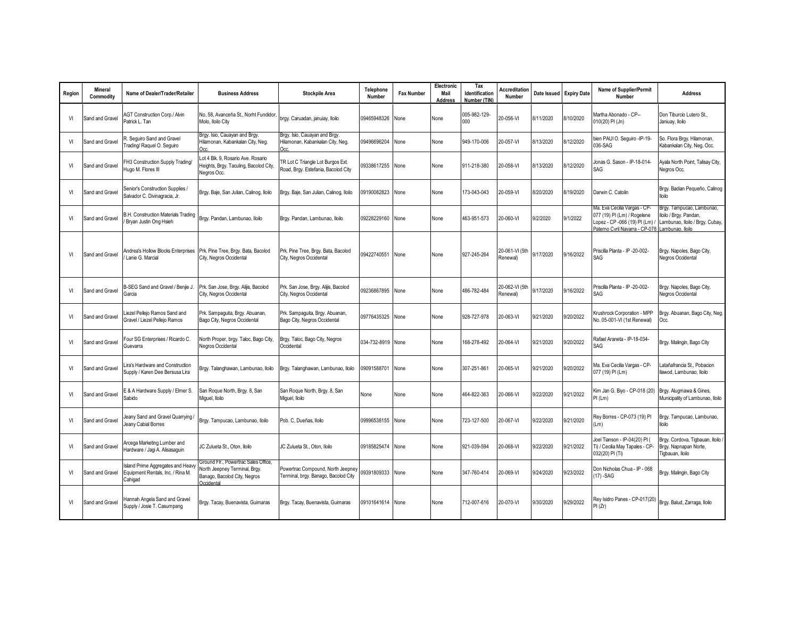| Region | Mineral<br>Commodity | Name of Dealer/Trader/Retailer                                                   | <b>Business Address</b>                                                                                             | <b>Stockpile Area</b>                                                     | <b>Telephone</b><br>Number | <b>Fax Number</b> | Electronic<br>Mail<br><b>Address</b> | Tax<br>Identification<br>Number (TIN) | <b>Accreditation</b><br>Number | Date Issued | <b>Expiry Date</b> | <b>Name of Supplier/Permit</b><br>Number                                                                                                         | <b>Address</b>                                                                         |
|--------|----------------------|----------------------------------------------------------------------------------|---------------------------------------------------------------------------------------------------------------------|---------------------------------------------------------------------------|----------------------------|-------------------|--------------------------------------|---------------------------------------|--------------------------------|-------------|--------------------|--------------------------------------------------------------------------------------------------------------------------------------------------|----------------------------------------------------------------------------------------|
| VI     | Sand and Gravel      | <b>AGT Construction Corp./ Alvin</b><br>Patrick L. Tan                           | No. 58, Avanceña St., Norht Fundidor<br>Molo, Iloilo City                                                           | brgy. Caruadan, januiay, Iloilo                                           | 09465948326                | None              | None                                 | 005-982-129-<br>$000 -$               | 20-056-VI                      | 8/11/2020   | 8/10/2020          | Martha Abonado - CP--<br>010(20) PI (Jn)                                                                                                         | Don Tiburcio Lutero St.,<br>Janiuay, Iloilo                                            |
| VI     | Sand and Gravel      | . Seguiro Sand and Gravel<br>Frading/ Raquel O. Sequiro                          | Brgy. Isio, Cauayan and Brgy.<br>Hilamonan, Kabankalan City, Neg.<br>Occ.                                           | Brgy. Isio, Cauayan and Brgy.<br>Hilamonan, Kabankalan City, Neg.<br>Occ. | 09496696204                | None              | None                                 | 949-170-006                           | 20-057-VI                      | 8/13/2020   | 8/12/2020          | bien PAUI O. Seguiro -IP-19-<br>036-SAG                                                                                                          | So. Flora Brgy. Hilamonan,<br>Kabankalan City, Neg. Occ.                               |
| VI     | Sand and Gravel      | H3 Construction Supply Trading/<br>lugo M. Flores III                            | Lot 4 Blk. 9, Rosario Ave. Rosario<br>Heights, Brgy. Taculing, Bacolod City,<br>Negros Occ.                         | TR Lot C Triangle Lot Burgos Ext.<br>Road, Brgy. Estefania, Bacolod City  | 09338617255 None           |                   | None                                 | 911-218-380                           | 20-058-VI                      | 8/13/2020   | 8/12/2020          | Jonas G. Sason - IP-18-014-<br>SAG                                                                                                               | Ayala North Point, Talisay City,<br>Negros Occ.                                        |
| VI     | Sand and Gravel      | Senior's Construction Supplies /<br>Salvador C. Divinagracia, Jr.                | Brgy. Baje, San Julian, Calinog, Iloilo                                                                             | Brgy. Baje, San Julian, Calinog, Iloilo                                   | 09190082823 None           |                   | None                                 | 173-043-043                           | 20-059-VI                      | 8/20/2020   | 8/19/2020          | Darwin C. Catolin                                                                                                                                | Brgy. Badian Pequeño, Calinog<br>lloilo                                                |
| VI     | Sand and Gravel      | B.H. Construction Materials Trading<br>Bryan Justin Ong Hsieh                    | Brgy. Pandan, Lambunao, Iloilo                                                                                      | Brgy. Pandan, Lambunao, Iloilo                                            | 09228229160 None           |                   | None                                 | 463-951-573                           | 20-060-VI                      | 9/2/2020    | 9/1/2022           | Ma. Eva Cecilia Vargas - CP-<br>077 (19) PI (Lm) / Rogelene<br>Lopez - CP -066 (19) PI (Lm) /<br>Paterno Cyril Navarra - CP-078 Lambunao, Iloilo | Brgy. Tampucao, Lambunao,<br>lloilo / Brgy. Pandan,<br>Lambunao, Iloilo / Brgy. Cubay, |
| VI     | Sand and Gravel      | Andrea's Hollow Blocks Enterprises<br>Lanie G. Marcial                           | Prk. Pine Tree, Brgy. Bata, Bacolod<br>City, Negros Occidental                                                      | Prk. Pine Tree, Brgy. Bata, Bacolod<br>City, Negros Occidental            | 09422740551 None           |                   | None                                 | 927-245-264                           | 20-061-VI (5th<br>Renewal)     | 9/17/2020   | 9/16/2022          | Priscilla Planta - IP -20-002-<br>SAG                                                                                                            | Brgy. Napoles, Bago City,<br>Negros Occidental                                         |
| VI     | Sand and Gravel      | B-SEG Sand and Gravel / Benjie J.<br>Garcia                                      | Prk. San Jose, Brgy. Alijis, Bacolod<br>City, Negros Occidental                                                     | Prk. San Jose, Brgy. Alijis, Bacolod<br>City, Negros Occidental           | 09236867895 None           |                   | None                                 | 486-782-484                           | 20-062-VI (5th<br>Renewal)     | 9/17/2020   | 9/16/2022          | Priscilla Planta - IP -20-002-<br>SAG                                                                                                            | Brgy. Napoles, Bago City,<br>Negros Occidental                                         |
| VI     | Sand and Gravel      | iezel Pellejo Ramos Sand and<br>Gravel / Liezel Pellejo Ramos                    | Prk. Sampaguita, Brgy. Abuanan,<br>Bago City, Negros Occidental                                                     | Prk. Sampaguita, Brgy. Abuanan,<br>Bago City, Negros Occidental           | 09776435325 None           |                   | None                                 | 928-727-978                           | 20-063-VI                      | 9/21/2020   | 9/20/2022          | Krushrock Corporation - MPP<br>No. 05-001-VI (1st Renewal)                                                                                       | Brgy. Abuanan, Bago City, Neg.<br>Occ.                                                 |
| VI     | Sand and Gravel      | Four SG Enterprises / Ricardo C.<br>Guevarra                                     | North Proper, brgy. Taloc, Bago City,<br>Negros Occidental                                                          | Brgy. Taloc, Bago City, Negros<br>Occidental                              | 034-732-8919 None          |                   | None                                 | 168-278-492                           | 20-064-VI                      | 9/21/2020   | 9/20/2022          | Rafael Araneta - IP-18-034-<br>SAG                                                                                                               | Brgy. Malingin, Bago City                                                              |
| VI     | Sand and Gravel      | ira's Hardware and Construction.<br>Supply / Karen Dee Bersusa Lira              | Brgy. Talanghawan, Lambunao, Iloilo                                                                                 | Brgy. Talanghawan, Lambunao, Iloilo                                       | 09091588701 None           |                   | None                                 | 307-251-861                           | 20-065-VI                      | 9/21/2020   | 9/20/2022          | Ma. Eva Cecilia Vargas - CP-<br>077 (19) PI (Lm)                                                                                                 | atañafrancia St., Pobacion.<br>Ilawod, Lambunao, Iloilo                                |
| VI     | Sand and Gravel      | E & A Hardware Supply / Elmer S.<br>Sabido                                       | San Roque North, Brgy. 8, San<br>Miguel, Iloilo                                                                     | San Roque North, Brgy. 8, San<br>Miquel, Iloilo                           | None                       | None              | None                                 | 464-822-363                           | 20-066-VI                      | 9/22/2020   | 9/21/2022          | Kim Jan G. Biyo - CP-018 (20)<br>PI(Lm)                                                                                                          | Brgy. Alugmawa & Gines,<br>Municipality of Lambunao, Iloilo                            |
| VI     | Sand and Gravel      | leany Sand and Gravel Quarrying<br>Jeany Cabial Borres                           | Brgy. Tampucao, Lambunao, Iloilo                                                                                    | Pob. C. Dueñas, Iloilo                                                    | 09996538155 None           |                   | None                                 | 723-127-500                           | 20-067-VI                      | 9/22/2020   | 9/21/2020          | Rey Borres - CP-073 (19) PI<br>(Lm)                                                                                                              | Brgy. Tampucao, Lambunao,<br>lloilo                                                    |
| VI     | Sand and Gravel      | Arcega Marketing Lumber and<br>Hardware / Jagi A. Alisasaguin                    | JC Zulueta St., Oton, Iloilo                                                                                        | JC Zulueta St., Oton, Iloilo                                              | 09185825474 None           |                   | None                                 | 921-039-594                           | 20-068-VI                      | 9/22/2020   | 9/21/2022          | Joel Tianson - IP-04(20) PI (<br>Ti) / Cecilia May Tapales - CP-<br>032(20) PI (Ti)                                                              | Brgy. Cordova, Tigbauan, Iloilo<br>Brgy. Napnapan Norte,<br>Tigbauan, Iloilo           |
| VI     | Sand and Gravel      | sland Prime Aggregates and Heavy<br>Equipment Rentals, Inc. / Rina M.<br>Cahigad | Ground Flr., Powertrac Sales Office.<br>North Jeepney Terminal, Brgy.<br>Banago, Bacolod City, Negros<br>Occidental | Powertrac Compound, North Jeepney<br>Terminal, brgy. Banago, Bacolod City | 09391809333 None           |                   | None                                 | 347-760-414                           | 20-069-VI                      | 9/24/2020   | 9/23/2022          | Don Nicholas Chua - IP - 068<br>$(17) - SAG$                                                                                                     | Brgy. Malingin, Bago City                                                              |
| VI     | Sand and Gravel      | Iannah Angela Sand and Gravel<br>Supply / Josie T. Casumpang                     | Brgy. Tacay, Buenavista, Guimaras                                                                                   | Brgy. Tacay, Buenavista, Guimaras                                         | 09101641614 None           |                   | None                                 | 712-007-616                           | 20-070-VI                      | 9/30/2020   | 9/29/2022          | Rey Isidro Panes - CP-017(20)<br>PI(Zr)                                                                                                          | Brgy. Balud, Zarraga, Iloilo                                                           |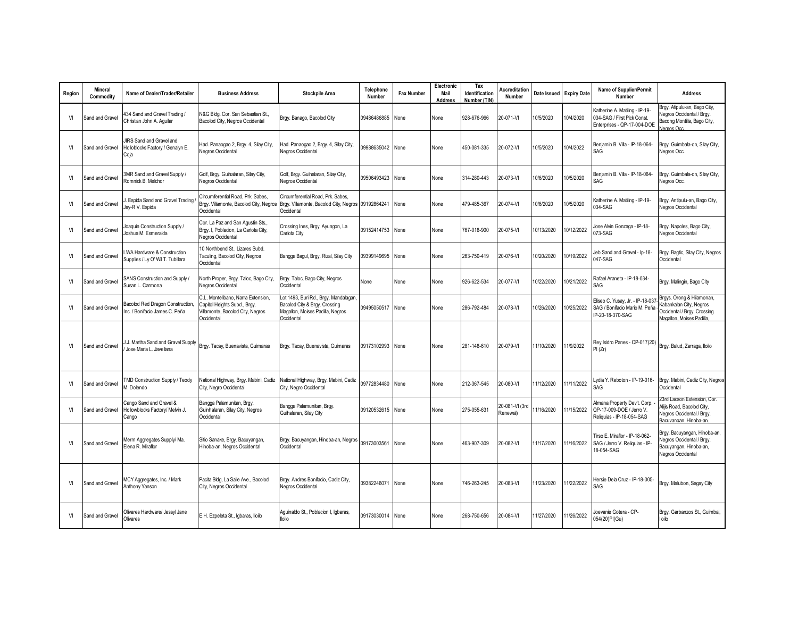| Region | Mineral<br>Commodity | Name of Dealer/Trader/Retailer                                             | <b>Business Address</b>                                                                                              | <b>Stockpile Area</b>                                                                                                    | Telephone<br>Number | <b>Fax Number</b> | Electronic<br>Mail<br>Address | Tax<br>Identification<br>Number (TIN) | <b>Accreditation</b><br>Number | Date Issued | <b>Expiry Date</b> | <b>Name of Supplier/Permit</b><br>Number                                                     | <b>Address</b>                                                                                                   |
|--------|----------------------|----------------------------------------------------------------------------|----------------------------------------------------------------------------------------------------------------------|--------------------------------------------------------------------------------------------------------------------------|---------------------|-------------------|-------------------------------|---------------------------------------|--------------------------------|-------------|--------------------|----------------------------------------------------------------------------------------------|------------------------------------------------------------------------------------------------------------------|
| VI     | Sand and Gravel      | 434 Sand and Gravel Trading /<br>Christian John A. Aguilar                 | N&G Bldg. Cor. San Sebastian St.<br>Bacolod City, Negros Occidental                                                  | Brgy. Banago, Bacolod City                                                                                               | 09486486885         | None              | None                          | 928-676-966                           | 20-071-VI                      | 10/5/2020   | 0/4/2020           | Katherine A. Matiling - IP-19-<br>034-SAG / First Pick Const.<br>Enterprises - QP-17-004-DOE | Brgy. Atipulu-an, Bago City,<br>legros Occidental / Brgy.<br>Bacong Montilla, Bago City,<br>Jearos Occ.          |
| VI     | Sand and Gravel      | <b>IRS</b> Sand and Gravel and<br>Holloblocks Factory / Genalyn E.<br>Coja | Had. Panaogao 2, Brgy. 4, Silay City,<br>Negros Occidental                                                           | Had. Panaogao 2, Brgy. 4, Silay City,<br>Negros Occidental                                                               | 09988635042 None    |                   | None                          | 450-081-335                           | 20-072-VI                      | 10/5/2020   | 0/4/2022           | Beniamin B. Villa - IP-18-064-<br>SAG                                                        | Brgy. Guimbala-on, Silay City,<br>Negros Occ.                                                                    |
| VI     | Sand and Gravel      | <b>BMR Sand and Gravel Supply /</b><br>Romnick B. Melchor                  | Golf, Brgy. Guihalaran, Silay City,<br>Negros Occidental                                                             | Golf, Brgy. Guihalaran, Silay City,<br>Negros Occidental                                                                 | 09506493423 None    |                   | None                          | 314-280-443                           | 20-073-VI                      | 10/6/2020   | 0/5/2020           | Benjamin B. Villa - IP-18-064-<br>SAG                                                        | Brgy. Guimbala-on, Silay City,<br>Negros Occ.                                                                    |
| VI     | Sand and Gravel      | . Espida Sand and Gravel Trading<br>ay-R V. Espida                         | Circumferential Road, Prk. Sabes.<br>Brgy. Villamonte, Bacolod City, Negros<br>Occidental                            | Circumferential Road, Prk. Sabes,<br>Brgy. Villamonte, Bacolod City, Negros 09192864241<br>Occidental                    |                     | None              | None                          | 479-485-367                           | 20-074-VI                      | 10/6/2020   | 0/5/2020           | Katherine A. Matiling - IP-19-<br>034-SAG                                                    | Brgy. Antipulu-an, Bago City,<br>Negros Occidental                                                               |
| VI     | Sand and Gravel      | loaquin Construction Supply /<br>loshua M. Esmeralda                       | Cor. La Paz and San Agustin Sts.,<br>Brgy. I, Poblacion, La Carlota City,<br>Negros Occidental                       | Crossing Ines, Brgy. Ayungon, La<br>Carlota City                                                                         | 09152414753 None    |                   | None                          | 767-018-900                           | 20-075-VI                      | 10/13/2020  | 10/12/2022         | Jose Alvin Gonzaga - IP-18-<br>073-SAG                                                       | Brgy. Napoles, Bago City,<br>Negros Occidental                                                                   |
| VI     | Sand and Gravel      | WA Hardware & Construction<br>Supplies / Ly O' Wil T. Tubillara            | 10 Northbend St., Lizares Subd.<br>Taculing, Bacolod City, Negros<br>Occidental                                      | Bangga Bagul, Brgy. Rizal, Silay City                                                                                    | 09399149695 None    |                   | None                          | 263-750-419                           | 20-076-VI                      | 10/20/2020  | 0/19/2022          | Jeb Sand and Gravel - Ip-18-<br>047-SAG                                                      | Brgy. Bagtic, Silay City, Negros<br>Occidental                                                                   |
| VI     | Sand and Gravel      | SANS Construction and Supply /<br>Susan L. Carmona                         | North Proper, Brgy. Taloc, Bago City,<br>Negros Occidental                                                           | Brgy. Taloc, Bago City, Negros<br>Occidental                                                                             | None                | None              | None                          | 926-622-534                           | 20-077-VI                      | 10/22/2020  | 0/21/2022          | Rafael Araneta - IP-18-034-<br>SAG                                                           | Brgy. Malingin, Bago City                                                                                        |
| VI     | Sand and Gravel      | Bacolod Red Dragon Construction.<br>nc. / Bonifacio James C. Peña          | C.L. Montelibano, Narra Extension.<br>Capitol Heights Subd., Brgy.<br>Villamonte, Bacolod City, Negros<br>Occidental | Lot 1493, Buri Rd., Brgy. Mandalagan,<br>Bacolod City & Brgy. Crossing<br>Magallon, Moises Padilla, Negros<br>Occidental | 09495050517         | None              | None                          | 286-792-484                           | 20-078-VI                      | 10/26/2020  | 0/25/2022          | Eliseo C. Yusay, Jr. - IP-18-037<br>SAG / Bonifacio Mario M. Peña<br>IP-20-18-370-SAG        | Brgys. Orong & Hilamonan,<br>Kabankalan City, Negros<br>Occidental / Brgy. Crossing<br>Magallon, Moises Padilla  |
| VI     | Sand and Gravel      | J. Martha Sand and Gravel Supply<br>Jose Maria L. Javellana                | Brgy. Tacay, Buenavista, Guimaras                                                                                    | Brgy. Tacay, Buenavista, Guimaras                                                                                        | 09173102993 None    |                   | None                          | 281-148-610                           | 20-079-VI                      | 11/10/2020  | 1/9/2022           | Rey Isidro Panes - CP-017(20)<br>PI(Zr)                                                      | Brgy. Balud, Zarraga, Iloilo                                                                                     |
| VI     | Sand and Gravel      | <b>FMD Construction Supply / Teody</b><br>A. Dolendo                       | National Highway, Brgy. Mabini, Cadiz<br>City, Negro Occidental                                                      | National Highway, Brgy. Mabini, Cadiz<br>City, Negro Occidental                                                          | 09772834480 None    |                   | None                          | 212-367-545                           | 20-080-VI                      | 11/12/2020  | 11/11/2022         | Lydia Y. Reboton - IP-19-016-<br>SAG                                                         | Brgy. Mabini, Cadiz City, Negros<br>Occidental                                                                   |
| VI     | Sand and Gravel      | Cango Sand and Gravel &<br>Hollowblocks Factory/ Melvin J.<br>Cango        | Bangga Palamunitan, Brgy.<br>Guinhalaran, Silay City, Negros<br>Occidental                                           | Bangga Palamunitan, Brgy.<br>Guihalaran, Silay City                                                                      | 09120532615 None    |                   | None                          | 275-055-631                           | 20-081-VI (3rd<br>Renewal)     | 11/16/2020  | 11/15/2022         | Almana Property Dev't. Corp.<br>QP-17-009-DOE / Jerro V.<br>Reliquias - IP-18-054-SAG        | 23rd Lacson Extension, Cor.<br>Alijis Road, Bacolod City,<br>Negros Occidental / Brgy.<br>Bacuvangan, Hinoba-an, |
| VI     | Sand and Gravel      | Merm Aggregates Supply/Ma.<br>Elena R. Miraflor                            | Sitio Sanake, Brgy. Bacuyangan,<br>Hinoba-an, Negros Occidental                                                      | Brgy. Bacuyangan, Hinoba-an, Negros<br>Occidental                                                                        | 09173003561 None    |                   | None                          | 463-907-309                           | 20-082-VI                      | 11/17/2020  | 1/16/2022          | Tirso E. Miraflor - IP-18-062-<br>SAG / Jerro V. Reliquias - IP-<br>18-054-SAG               | Brgy. Bacuyangan, Hinoba-an,<br>legros Occidental / Brgy.<br>Bacuyangan, Hinoba-an,<br>Negros Occidental         |
| VI     | Sand and Gravel      | MCY Aggregates, Inc. / Mark<br>Anthony Yanson                              | Pacita Bldg, La Salle Ave., Bacolod<br>City, Negros Occidental                                                       | Brgy. Andres Bonifacio, Cadiz City,<br>Negros Occidental                                                                 | 09382246071 None    |                   | None                          | 746-263-245                           | 20-083-VI                      | 11/23/2020  | 1/22/2022          | Hersie Dela Cruz - IP-18-005-<br>SAG                                                         | Brgy. Malubon, Sagay City                                                                                        |
| VI     | Sand and Gravel      | Olivares Hardware/ Jessyl Jane<br>Olivares                                 | E.H. Ezpeleta St., Igbaras, Iloilo                                                                                   | Aguinaldo St., Poblacion I, Igbaras,<br>lloilo                                                                           | 09173030014 None    |                   | None                          | 268-750-656                           | 20-084-VI                      | 11/27/2020  | 1/26/2022          | Joevanie Gotera - CP-<br>054(20)PI(Gu)                                                       | Brgy. Garbanzos St., Guimbal,<br><b>Iloilo</b>                                                                   |